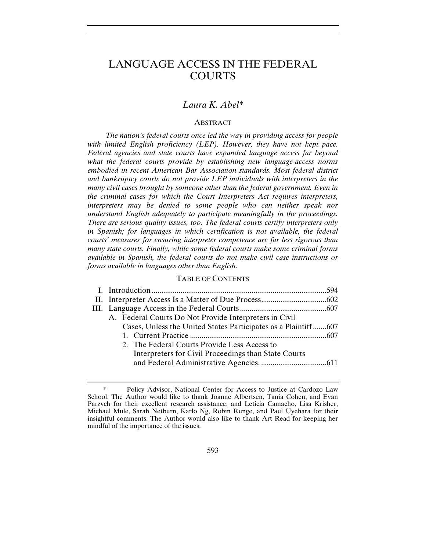# LANGUAGE ACCESS IN THE FEDERAL COURTS

# *Laura K. Abel\**

## ABSTRACT

*The nation's federal courts once led the way in providing access for people*  with limited English proficiency (LEP). However, they have not kept pace. *Federal agencies and state courts have expanded language access far beyond what the federal courts provide by establishing new language-access norms embodied in recent American Bar Association standards. Most federal district and bankruptcy courts do not provide LEP individuals with interpreters in the many civil cases brought by someone other than the federal government. Even in the criminal cases for which the Court Interpreters Act requires interpreters, interpreters may be denied to some people who can neither speak nor understand English adequately to participate meaningfully in the proceedings. There are serious quality issues, too. The federal courts certify interpreters only in Spanish; for languages in which certification is not available, the federal courts' measures for ensuring interpreter competence are far less rigorous than many state courts. Finally, while some federal courts make some criminal forms available in Spanish, the federal courts do not make civil case instructions or forms available in languages other than English.* 

#### TABLE OF CONTENTS

| A. Federal Courts Do Not Provide Interpreters in Civil         |  |
|----------------------------------------------------------------|--|
| Cases, Unless the United States Participates as a Plaintiff607 |  |
|                                                                |  |
| 2. The Federal Courts Provide Less Access to                   |  |
| Interpreters for Civil Proceedings than State Courts           |  |
|                                                                |  |
|                                                                |  |

 <sup>\*</sup> Policy Advisor, National Center for Access to Justice at Cardozo Law School. The Author would like to thank Joanne Albertsen, Tania Cohen, and Evan Parzych for their excellent research assistance; and Leticia Camacho, Lisa Krisher, Michael Mule, Sarah Netburn, Karlo Ng, Robin Runge, and Paul Uyehara for their insightful comments. The Author would also like to thank Art Read for keeping her mindful of the importance of the issues.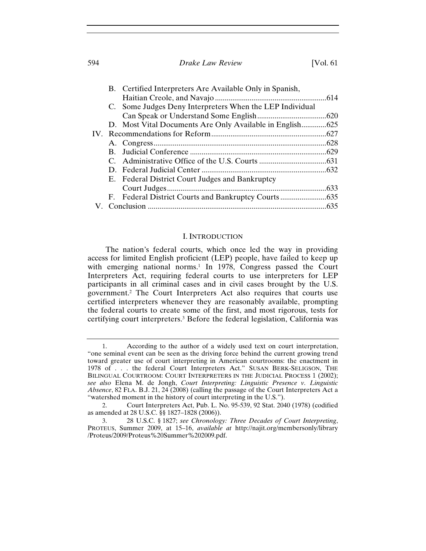594 *Drake Law Review* [Vol. 61

|  | B. Certified Interpreters Are Available Only in Spanish, |  |
|--|----------------------------------------------------------|--|
|  |                                                          |  |
|  | C. Some Judges Deny Interpreters When the LEP Individual |  |
|  |                                                          |  |
|  |                                                          |  |
|  |                                                          |  |
|  |                                                          |  |
|  |                                                          |  |
|  |                                                          |  |
|  |                                                          |  |
|  | E. Federal District Court Judges and Bankruptcy          |  |
|  |                                                          |  |
|  |                                                          |  |
|  |                                                          |  |

#### I. INTRODUCTION

The nation's federal courts, which once led the way in providing access for limited English proficient (LEP) people, have failed to keep up with emerging national norms.<sup>1</sup> In 1978, Congress passed the Court Interpreters Act, requiring federal courts to use interpreters for LEP participants in all criminal cases and in civil cases brought by the U.S. government.2 The Court Interpreters Act also requires that courts use certified interpreters whenever they are reasonably available, prompting the federal courts to create some of the first, and most rigorous, tests for certifying court interpreters.3 Before the federal legislation, California was

<sup>1.</sup> According to the author of a widely used text on court interpretation, "one seminal event can be seen as the driving force behind the current growing trend toward greater use of court interpreting in American courtrooms: the enactment in 1978 of . . . the federal Court Interpreters Act." SUSAN BERK-SELIGSON, THE BILINGUAL COURTROOM: COURT INTERPRETERS IN THE JUDICIAL PROCESS 1 (2002); *see also* Elena M. de Jongh, *Court Interpreting: Linguistic Presence v. Linguistic Absence*, 82 FLA. B.J. 21, 24 (2008) (calling the passage of the Court Interpreters Act a "watershed moment in the history of court interpreting in the U.S.").

<sup>2.</sup> Court Interpreters Act, Pub. L. No. 95-539, 92 Stat. 2040 (1978) (codified as amended at 28 U.S.C. §§ 1827–1828 (2006)).

<sup>3. 28</sup> U.S.C. § 1827; *see Chronology: Three Decades of Court Interpreting*, PROTEUS, Summer 2009, at 15–16, *available at* http://najit.org/membersonly/library /Proteus/2009/Proteus%20Summer%202009.pdf.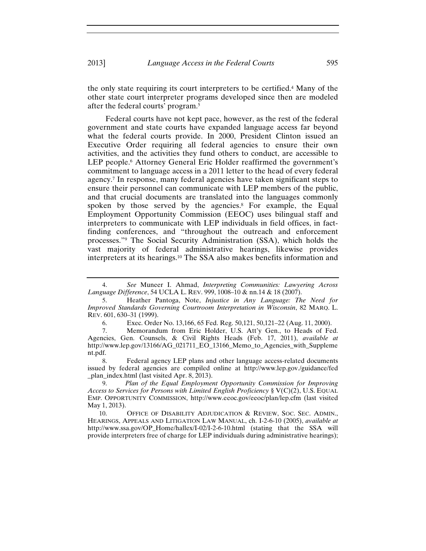the only state requiring its court interpreters to be certified.4 Many of the other state court interpreter programs developed since then are modeled after the federal courts' program.5

Federal courts have not kept pace, however, as the rest of the federal government and state courts have expanded language access far beyond what the federal courts provide. In 2000, President Clinton issued an Executive Order requiring all federal agencies to ensure their own activities, and the activities they fund others to conduct, are accessible to LEP people.<sup>6</sup> Attorney General Eric Holder reaffirmed the government's commitment to language access in a 2011 letter to the head of every federal agency.7 In response, many federal agencies have taken significant steps to ensure their personnel can communicate with LEP members of the public, and that crucial documents are translated into the languages commonly spoken by those served by the agencies.<sup>8</sup> For example, the Equal Employment Opportunity Commission (EEOC) uses bilingual staff and interpreters to communicate with LEP individuals in field offices, in factfinding conferences, and "throughout the outreach and enforcement processes."9 The Social Security Administration (SSA), which holds the vast majority of federal administrative hearings, likewise provides interpreters at its hearings.10 The SSA also makes benefits information and

10. OFFICE OF DISABILITY ADJUDICATION & REVIEW, SOC. SEC. ADMIN., HEARINGS, APPEALS AND LITIGATION LAW MANUAL, ch. I-2-6-10 (2005), *available at*  http://www.ssa.gov/OP\_Home/hallex/I-02/I-2-6-10.html (stating that the SSA will provide interpreters free of charge for LEP individuals during administrative hearings);

<sup>4.</sup> *See* Muneer I. Ahmad, *Interpreting Communities: Lawyering Across Language Difference*, 54 UCLA L. REV. 999, 1008–10 & nn.14 & 18 (2007).

<sup>5.</sup> Heather Pantoga, Note, *Injustice in Any Language: The Need for Improved Standards Governing Courtroom Interpretation in Wisconsin*, 82 MARQ. L. REV. 601, 630–31 (1999).

<sup>6.</sup> Exec. Order No. 13,166, 65 Fed. Reg. 50,121, 50,121–22 (Aug. 11, 2000).

<sup>7.</sup> Memorandum from Eric Holder, U.S. Att'y Gen., to Heads of Fed. Agencies, Gen. Counsels, & Civil Rights Heads (Feb. 17, 2011), *available at* http://www.lep.gov/13166/AG\_021711\_EO\_13166\_Memo\_to\_Agencies\_with\_Suppleme nt.pdf.

<sup>8.</sup> Federal agency LEP plans and other language access-related documents issued by federal agencies are compiled online at http://www.lep.gov./guidance/fed \_plan\_index.html (last visited Apr. 8, 2013).

<sup>9.</sup> *Plan of the Equal Employment Opportunity Commission for Improving Access to Services for Persons with Limited English Proficiency* § V(C)(2), U.S. EQUAL EMP. OPPORTUNITY COMMISSION, http://www.eeoc.gov/eeoc/plan/lep.cfm (last visited May 1, 2013).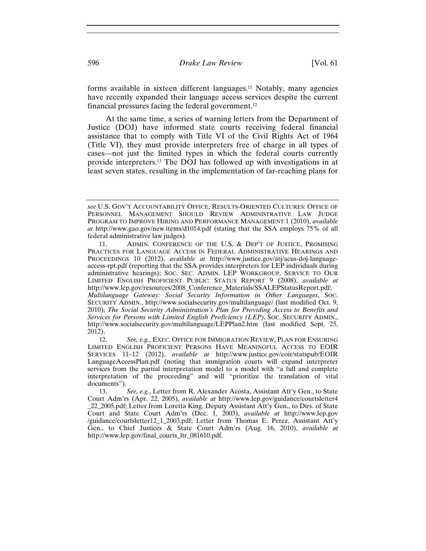forms available in sixteen different languages.11 Notably, many agencies have recently expanded their language access services despite the current financial pressures facing the federal government.12

At the same time, a series of warning letters from the Department of Justice (DOJ) have informed state courts receiving federal financial assistance that to comply with Title VI of the Civil Rights Act of 1964 (Title VI), they must provide interpreters free of charge in all types of cases—not just the limited types in which the federal courts currently provide interpreters.13 The DOJ has followed up with investigations in at least seven states, resulting in the implementation of far-reaching plans for

*see* U.S. GOV'T ACCOUNTABILITY OFFICE, RESULTS-ORIENTED CULTURES: OFFICE OF PERSONNEL MANAGEMENT SHOULD REVIEW ADMINISTRATIVE LAW JUDGE PROGRAM TO IMPROVE HIRING AND PERFORMANCE MANAGEMENT 1 (2010), *available at* http://www.gao.gov/new.items/d1014.pdf (stating that the SSA employs 75% of all federal administrative law judges).

<sup>11.</sup> ADMIN. CONFERENCE OF THE U.S. & DEP'T OF JUSTICE, PROMISING PRACTICES FOR LANGUAGE ACCESS IN FEDERAL ADMINISTRATIVE HEARINGS AND PROCEEDINGS 10 (2012), *available at* http://www.justice.gov/atj/acus-doj-languageaccess-rpt.pdf (reporting that the SSA provides interpreters for LEP individuals during administrative hearings); SOC. SEC. ADMIN. LEP WORKGROUP, SERVICE TO OUR LIMITED ENGLISH PROFICIENT PUBLIC: STATUS REPORT 9 (2008), *available at* http://www.lep.gov/resources/2008\_Conference\_Materials/SSALEPStatusReport.pdf; *Multilanguage Gateway: Social Security Information in Other Languages*, SOC. SECURITY ADMIN., http://www.socialsecurity.gov/multilanguage/ (last modified Oct. 9, 2010); *The Social Security Administration's Plan for Providing Access to Benefits and Services for Persons with Limited English Proficiency (LEP)*, SOC. SECURITY ADMIN., http://www.socialsecurity.gov/multilanguage/LEPPlan2.htm (last modified Sept. 25, 2012).

<sup>12.</sup> *See, e.g.*, EXEC. OFFICE FOR IMMIGRATION REVIEW, PLAN FOR ENSURING LIMITED ENGLISH PROFICIENT PERSONS HAVE MEANINGFUL ACCESS TO EOIR SERVICES 11–12 (2012), *available at* http://www.justice.gov/eoir/statspub/EOIR LanguageAccessPlan.pdf (noting that immigration courts will expand interpreter services from the partial interpretation model to a model with "a full and complete interpretation of the proceeding" and will "prioritize the translation of vital documents").

<sup>13.</sup> *See, e.g.*, Letter from R. Alexander Acosta, Assistant Att'y Gen., to State Court Adm'rs (Apr. 22, 2005), *available at* http://www.lep.gov/guidance/courtsletter4 \_22\_2005.pdf; Letter from Loretta King, Deputy Assistant Att'y Gen., to Dirs. of State Court and State Court Adm'rs (Dec. 1, 2003), *available at* http://www.lep.gov /guidance/courtsletter12\_1\_2003.pdf; Letter from Thomas E. Perez, Assistant Att'y Gen., to Chief Justices & State Court Adm'rs (Aug. 16, 2010), *available at* http://www.lep.gov/final\_courts\_ltr\_081610.pdf.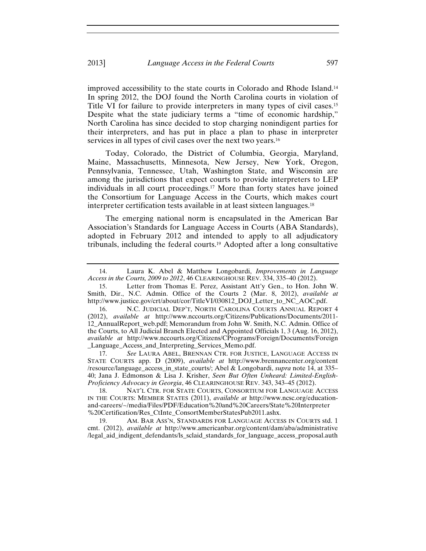improved accessibility to the state courts in Colorado and Rhode Island.14 In spring 2012, the DOJ found the North Carolina courts in violation of Title VI for failure to provide interpreters in many types of civil cases.15 Despite what the state judiciary terms a "time of economic hardship," North Carolina has since decided to stop charging nonindigent parties for their interpreters, and has put in place a plan to phase in interpreter services in all types of civil cases over the next two years.<sup>16</sup>

Today, Colorado, the District of Columbia, Georgia, Maryland, Maine, Massachusetts, Minnesota, New Jersey, New York, Oregon, Pennsylvania, Tennessee, Utah, Washington State, and Wisconsin are among the jurisdictions that expect courts to provide interpreters to LEP individuals in all court proceedings.17 More than forty states have joined the Consortium for Language Access in the Courts, which makes court interpreter certification tests available in at least sixteen languages.18

The emerging national norm is encapsulated in the American Bar Association's Standards for Language Access in Courts (ABA Standards), adopted in February 2012 and intended to apply to all adjudicatory tribunals, including the federal courts.19 Adopted after a long consultative

17. *See* LAURA ABEL, BRENNAN CTR. FOR JUSTICE, LANGUAGE ACCESS IN STATE COURTS app. D (2009), *available at* http://www.brennancenter.org/content /resource/language\_access\_in\_state\_courts/; Abel & Longobardi, *supra* note 14, at 335– 40; Jana J. Edmonson & Lisa J. Krisher, *Seen But Often Unheard: Limited-English-Proficiency Advocacy in Georgia*, 46 CLEARINGHOUSE REV. 343, 343–45 (2012).

18. NAT'L CTR. FOR STATE COURTS, CONSORTIUM FOR LANGUAGE ACCESS IN THE COURTS: MEMBER STATES (2011), *available at* http://www.ncsc.org/educationand-careers/~/media/Files/PDF/Education%20and%20Careers/State%20Interpreter %20Certification/Res\_CtInte\_ConsortMemberStatesPub2011.ashx.

19. AM. BAR ASS'N, STANDARDS FOR LANGUAGE ACCESS IN COURTS std. 1 cmt. (2012), *available at* http://www.americanbar.org/content/dam/aba/administrative /legal\_aid\_indigent\_defendants/ls\_sclaid\_standards\_for\_language\_access\_proposal.auth

<sup>14.</sup> Laura K. Abel & Matthew Longobardi, *Improvements in Language Access in the Courts, 2009 to 2012*, 46 CLEARINGHOUSE REV. 334, 335–40 (2012).

<sup>15.</sup> Letter from Thomas E. Perez, Assistant Att'y Gen., to Hon. John W. Smith, Dir., N.C. Admin. Office of the Courts 2 (Mar. 8, 2012), *available at* http://www.justice.gov/crt/about/cor/TitleVI/030812\_DOJ\_Letter\_to\_NC\_AOC.pdf.

<sup>16.</sup> N.C. JUDICIAL DEP'T, NORTH CAROLINA COURTS ANNUAL REPORT 4 (2012), *available at* http://www.nccourts.org/Citizens/Publications/Documents/2011- 12\_AnnualReport\_web.pdf; Memorandum from John W. Smith, N.C. Admin. Office of the Courts, to All Judicial Branch Elected and Appointed Officials 1, 3 (Aug. 16, 2012), *available at* http://www.nccourts.org/Citizens/CPrograms/Foreign/Documents/Foreign \_Language\_Access\_and\_Interpreting\_Services\_Memo.pdf.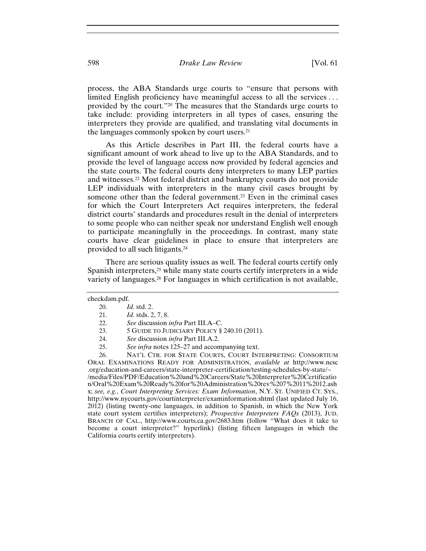process, the ABA Standards urge courts to "ensure that persons with limited English proficiency have meaningful access to all the services . . . provided by the court."20 The measures that the Standards urge courts to take include: providing interpreters in all types of cases, ensuring the interpreters they provide are qualified, and translating vital documents in the languages commonly spoken by court users.21

As this Article describes in Part III, the federal courts have a significant amount of work ahead to live up to the ABA Standards, and to provide the level of language access now provided by federal agencies and the state courts. The federal courts deny interpreters to many LEP parties and witnesses.22 Most federal district and bankruptcy courts do not provide LEP individuals with interpreters in the many civil cases brought by someone other than the federal government.<sup>23</sup> Even in the criminal cases for which the Court Interpreters Act requires interpreters, the federal district courts' standards and procedures result in the denial of interpreters to some people who can neither speak nor understand English well enough to participate meaningfully in the proceedings. In contrast, many state courts have clear guidelines in place to ensure that interpreters are provided to all such litigants.24

There are serious quality issues as well. The federal courts certify only Spanish interpreters,<sup>25</sup> while many state courts certify interpreters in a wide variety of languages.26 For languages in which certification is not available,

California courts certify interpreters).

23. 5 GUIDE TO JUDICIARY POLICY § 240.10 (2011).

26. NAT'L CTR. FOR STATE COURTS, COURT INTERPRETING: CONSORTIUM ORAL EXAMINATIONS READY FOR ADMINISTRATION, *available at* http://www.ncsc .org/education-and-careers/state-interpreter-certification/testing-schedules-by-state/~ /media/Files/PDF/Education%20and%20Careers/State%20Interpreter%20Certificatio n/Oral%20Exam%20Ready%20for%20Administration%20rev%207%2011%2012.ash x; *see, e.g.*, *Court Interpreting Services: Exam Information*, N.Y. ST. UNIFIED CT. SYS., http://www.nycourts.gov/courtinterpreter/examinformation.shtml (last updated July 16, 2012) (listing twenty-one languages, in addition to Spanish, in which the New York state court system certifies interpreters); *Prospective Interpreters FAQs* (2013), JUD. BRANCH OF CAL., http://www.courts.ca.gov/2683.htm (follow "What does it take to become a court interpreter?" hyperlink) (listing fifteen languages in which the

checkdam.pdf.

<sup>20.</sup> *Id.* std. 2.

<sup>21.</sup> *Id.* stds. 2, 7, 8.

<sup>22.</sup> *See* discussion *infra* Part III.A–C.

<sup>24.</sup> *See* discussion *infra* Part III.A.2.

<sup>25.</sup> *See infra* notes 125–27 and accompanying text.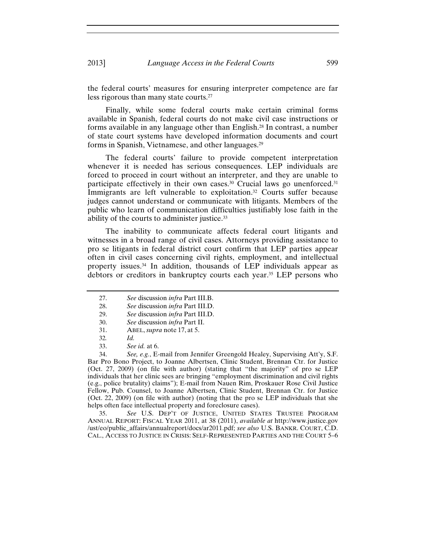the federal courts' measures for ensuring interpreter competence are far less rigorous than many state courts.27

Finally, while some federal courts make certain criminal forms available in Spanish, federal courts do not make civil case instructions or forms available in any language other than English.28 In contrast, a number of state court systems have developed information documents and court forms in Spanish, Vietnamese, and other languages.29

The federal courts' failure to provide competent interpretation whenever it is needed has serious consequences. LEP individuals are forced to proceed in court without an interpreter, and they are unable to participate effectively in their own cases.<sup>30</sup> Crucial laws go unenforced.<sup>31</sup> Immigrants are left vulnerable to exploitation.<sup>32</sup> Courts suffer because judges cannot understand or communicate with litigants. Members of the public who learn of communication difficulties justifiably lose faith in the ability of the courts to administer justice.33

The inability to communicate affects federal court litigants and witnesses in a broad range of civil cases. Attorneys providing assistance to pro se litigants in federal district court confirm that LEP parties appear often in civil cases concerning civil rights, employment, and intellectual property issues.34 In addition, thousands of LEP individuals appear as debtors or creditors in bankruptcy courts each year.35 LEP persons who

34. *See, e.g.*, E-mail from Jennifer Greengold Healey, Supervising Att'y, S.F. Bar Pro Bono Project, to Joanne Albertsen, Clinic Student, Brennan Ctr. for Justice (Oct. 27, 2009) (on file with author) (stating that "the majority" of pro se LEP individuals that her clinic sees are bringing "employment discrimination and civil rights (e.g., police brutality) claims"); E-mail from Nauen Rim, Proskauer Rose Civil Justice Fellow, Pub. Counsel, to Joanne Albertsen, Clinic Student, Brennan Ctr. for Justice (Oct. 22, 2009) (on file with author) (noting that the pro se LEP individuals that she helps often face intellectual property and foreclosure cases).

35. *See* U.S. DEP'T OF JUSTICE, UNITED STATES TRUSTEE PROGRAM ANNUAL REPORT: FISCAL YEAR 2011, at 38 (2011), *available at* http://www.justice.gov /ust/eo/public\_affairs/annualreport/docs/ar2011.pdf; *see also* U.S. BANKR. COURT, C.D. CAL., ACCESS TO JUSTICE IN CRISIS: SELF-REPRESENTED PARTIES AND THE COURT 5–6

<sup>27.</sup> *See* discussion *infra* Part III.B.

<sup>28.</sup> *See* discussion *infra* Part III.D.

<sup>29.</sup> *See* discussion *infra* Part III.D.

<sup>30.</sup> *See* discussion *infra* Part II.

<sup>31.</sup> ABEL, *supra* note 17, at 5.

<sup>32</sup>*. Id.* 

<sup>33.</sup> *See id.* at 6.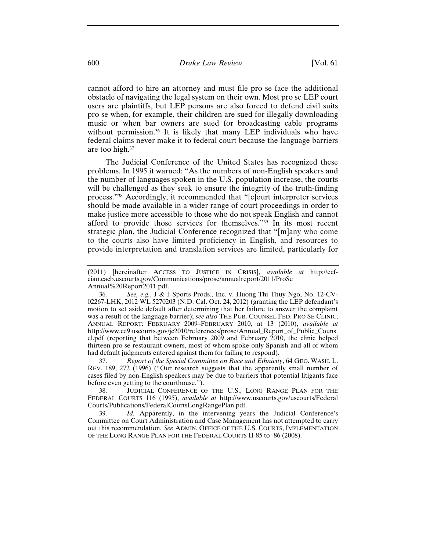cannot afford to hire an attorney and must file pro se face the additional obstacle of navigating the legal system on their own. Most pro se LEP court users are plaintiffs, but LEP persons are also forced to defend civil suits pro se when, for example, their children are sued for illegally downloading music or when bar owners are sued for broadcasting cable programs without permission.36 It is likely that many LEP individuals who have federal claims never make it to federal court because the language barriers are too high.37

The Judicial Conference of the United States has recognized these problems. In 1995 it warned: "As the numbers of non-English speakers and the number of languages spoken in the U.S. population increase, the courts will be challenged as they seek to ensure the integrity of the truth-finding process."38 Accordingly, it recommended that "[c]ourt interpreter services should be made available in a wider range of court proceedings in order to make justice more accessible to those who do not speak English and cannot afford to provide those services for themselves."39 In its most recent strategic plan, the Judicial Conference recognized that "[m]any who come to the courts also have limited proficiency in English, and resources to provide interpretation and translation services are limited, particularly for

36. *See, e.g.*, J & J Sports Prods., Inc. v. Huong Thi Thuy Ngo, No. 12-CV-02267-LHK, 2012 WL 5270203 (N.D. Cal. Oct. 24, 2012) (granting the LEP defendant's motion to set aside default after determining that her failure to answer the complaint was a result of the language barrier); *see also* THE PUB. COUNSEL FED. PRO SE CLINIC, ANNUAL REPORT: FEBRUARY 2009–FEBRUARY 2010, at 13 (2010), *available at*  http://www.ce9.uscourts.gov/jc2010/references/prose/Annual\_Report\_of\_Public\_Couns el.pdf (reporting that between February 2009 and February 2010, the clinic helped thirteen pro se restaurant owners, most of whom spoke only Spanish and all of whom had default judgments entered against them for failing to respond).

37. *Report of the Special Committee on Race and Ethnicity*, 64 GEO. WASH. L. REV. 189, 272 (1996) ("Our research suggests that the apparently small number of cases filed by non-English speakers may be due to barriers that potential litigants face before even getting to the courthouse.").

38. JUDICIAL CONFERENCE OF THE U.S., LONG RANGE PLAN FOR THE FEDERAL COURTS 116 (1995), *available at* http://www.uscourts.gov/uscourts/Federal Courts/Publications/FederalCourtsLongRangePlan.pdf.

39. *Id.* Apparently, in the intervening years the Judicial Conference's Committee on Court Administration and Case Management has not attempted to carry out this recommendation. *See* ADMIN. OFFICE OF THE U.S. COURTS, IMPLEMENTATION OF THE LONG RANGE PLAN FOR THE FEDERAL COURTS II-85 to -86 (2008).

<sup>(2011) [</sup>hereinafter ACCESS TO JUSTICE IN CRISIS], *available at* http://ecfciao.cacb.uscourts.gov/Communications/prose/annualreport/2011/ProSe Annual%20Report2011.pdf.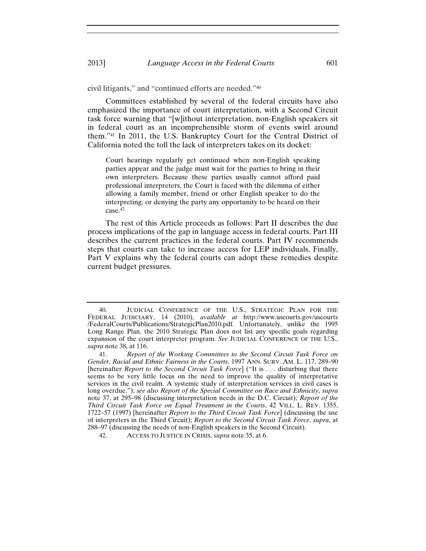civil litigants," and "continued efforts are needed."40

Committees established by several of the federal circuits have also emphasized the importance of court interpretation, with a Second Circuit task force warning that "[w]ithout interpretation, non-English speakers sit in federal court as an incomprehensible storm of events swirl around them."41 In 2011, the U.S. Bankruptcy Court for the Central District of California noted the toll the lack of interpreters takes on its docket:

Court hearings regularly get continued when non-English speaking parties appear and the judge must wait for the parties to bring in their own interpreters. Because these parties usually cannot afford paid professional interpreters, the Court is faced with the dilemma of either allowing a family member, friend or other English speaker to do the interpreting, or denying the party any opportunity to be heard on their case.42

The rest of this Article proceeds as follows: Part II describes the due process implications of the gap in language access in federal courts. Part III describes the current practices in the federal courts. Part IV recommends steps that courts can take to increase access for LEP individuals. Finally, Part V explains why the federal courts can adopt these remedies despite current budget pressures.

<sup>40.</sup> JUDICIAL CONFERENCE OF THE U.S., STRATEGIC PLAN FOR THE FEDERAL JUDICIARY, 14 (2010), *available at* http://www.uscourts.gov/uscourts /FederalCourts/Publications/StrategicPlan2010.pdf. Unfortunately, unlike the 1995 Long Range Plan, the 2010 Strategic Plan does not list any specific goals regarding expansion of the court interpreter program. *See* JUDICIAL CONFERENCE OF THE U.S., *supra* note 38, at 116.

<sup>41.</sup> *Report of the Working Committees to the Second Circuit Task Force on Gender, Racial and Ethnic Fairness in the Courts*, 1997 ANN. SURV. AM. L. 117, 289–90 [hereinafter *Report to the Second Circuit Task Force*] ("It is . . . disturbing that there seems to be very little focus on the need to improve the quality of interpretative services in the civil realm. A systemic study of interpretation services in civil cases is long overdue."); *see also Report of the Special Committee on Race and Ethnicity*, *supra* note 37, at 295–98 (discussing interpretation needs in the D.C. Circuit); *Report of the Third Circuit Task Force on Equal Treatment in the Courts*, 42 VILL. L. REV. 1355, 1722–57 (1997) [hereinafter *Report to the Third Circuit Task Force*] (discussing the use of interpreters in the Third Circuit); *Report to the Second Circuit Task Force*, *supra*, at 288–97 (discussing the needs of non-English speakers in the Second Circuit).

<sup>42.</sup> ACCESS TO JUSTICE IN CRISIS, *supra* note 35, at 6.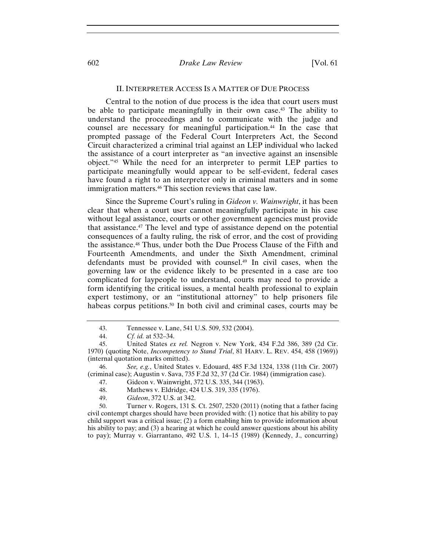#### 602 *Drake Law Review* [Vol. 61

#### II. INTERPRETER ACCESS IS A MATTER OF DUE PROCESS

Central to the notion of due process is the idea that court users must be able to participate meaningfully in their own case.43 The ability to understand the proceedings and to communicate with the judge and counsel are necessary for meaningful participation.44 In the case that prompted passage of the Federal Court Interpreters Act, the Second Circuit characterized a criminal trial against an LEP individual who lacked the assistance of a court interpreter as "an invective against an insensible object."45 While the need for an interpreter to permit LEP parties to participate meaningfully would appear to be self-evident, federal cases have found a right to an interpreter only in criminal matters and in some immigration matters.46 This section reviews that case law.

Since the Supreme Court's ruling in *Gideon v. Wainwright*, it has been clear that when a court user cannot meaningfully participate in his case without legal assistance, courts or other government agencies must provide that assistance.47 The level and type of assistance depend on the potential consequences of a faulty ruling, the risk of error, and the cost of providing the assistance.48 Thus, under both the Due Process Clause of the Fifth and Fourteenth Amendments, and under the Sixth Amendment, criminal defendants must be provided with counsel.49 In civil cases, when the governing law or the evidence likely to be presented in a case are too complicated for laypeople to understand, courts may need to provide a form identifying the critical issues, a mental health professional to explain expert testimony, or an "institutional attorney" to help prisoners file habeas corpus petitions.<sup>50</sup> In both civil and criminal cases, courts may be

50. Turner v. Rogers, 131 S. Ct. 2507, 2520 (2011) (noting that a father facing civil contempt charges should have been provided with: (1) notice that his ability to pay child support was a critical issue; (2) a form enabling him to provide information about his ability to pay; and (3) a hearing at which he could answer questions about his ability to pay); Murray v. Giarrantano, 492 U.S. 1, 14–15 (1989) (Kennedy, J., concurring)

<sup>43.</sup> Tennessee v. Lane, 541 U.S. 509, 532 (2004).

<sup>44.</sup> *Cf. id.* at 532–34.

<sup>45.</sup> United States *ex rel.* Negron v. New York, 434 F.2d 386, 389 (2d Cir. 1970) (quoting Note, *Incompetency to Stand Trial*, 81 HARV. L. REV. 454, 458 (1969)) (internal quotation marks omitted).

<sup>46.</sup> *See, e.g.*, United States v. Edouard, 485 F.3d 1324, 1338 (11th Cir. 2007) (criminal case); Augustin v. Sava, 735 F.2d 32, 37 (2d Cir. 1984) (immigration case).

<sup>47.</sup> Gideon v. Wainwright, 372 U.S. 335, 344 (1963).

<sup>48.</sup> Mathews v. Eldridge, 424 U.S. 319, 335 (1976).

<sup>49.</sup> *Gideon*, 372 U.S. at 342.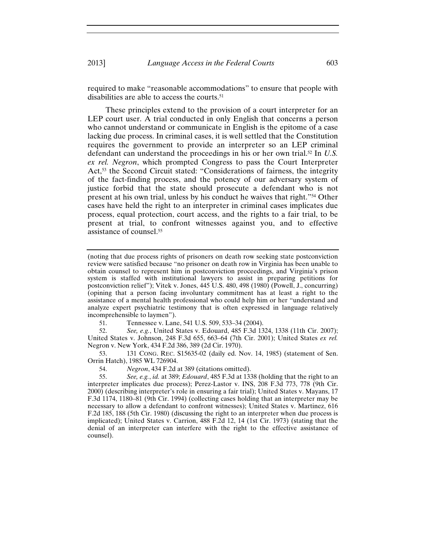required to make "reasonable accommodations" to ensure that people with disabilities are able to access the courts.51

These principles extend to the provision of a court interpreter for an LEP court user. A trial conducted in only English that concerns a person who cannot understand or communicate in English is the epitome of a case lacking due process. In criminal cases, it is well settled that the Constitution requires the government to provide an interpreter so an LEP criminal defendant can understand the proceedings in his or her own trial.52 In *U.S. ex rel. Negron*, which prompted Congress to pass the Court Interpreter Act,<sup>53</sup> the Second Circuit stated: "Considerations of fairness, the integrity of the fact-finding process, and the potency of our adversary system of justice forbid that the state should prosecute a defendant who is not present at his own trial, unless by his conduct he waives that right."54 Other cases have held the right to an interpreter in criminal cases implicates due process, equal protection, court access, and the rights to a fair trial, to be present at trial, to confront witnesses against you, and to effective assistance of counsel.55

(noting that due process rights of prisoners on death row seeking state postconviction review were satisfied because "no prisoner on death row in Virginia has been unable to obtain counsel to represent him in postconviction proceedings, and Virginia's prison system is staffed with institutional lawyers to assist in preparing petitions for postconviction relief"); Vitek v. Jones, 445 U.S. 480, 498 (1980) (Powell, J., concurring) (opining that a person facing involuntary commitment has at least a right to the assistance of a mental health professional who could help him or her "understand and analyze expert psychiatric testimony that is often expressed in language relatively incomprehensible to laymen").

51. Tennessee v. Lane, 541 U.S. 509, 533–34 (2004).

52. *See, e.g.*, United States v. Edouard, 485 F.3d 1324, 1338 (11th Cir. 2007); United States v. Johnson, 248 F.3d 655, 663–64 (7th Cir. 2001); United States *ex rel.* Negron v. New York, 434 F.2d 386, 389 (2d Cir. 1970).

53. 131 CONG. REC. S15635-02 (daily ed. Nov. 14, 1985) (statement of Sen. Orrin Hatch), 1985 WL 726904.

54. *Negron*, 434 F.2d at 389 (citations omitted).

55. *See, e.g.*, *id.* at 389; *Edouard*, 485 F.3d at 1338 (holding that the right to an interpreter implicates due process); Perez-Lastor v. INS, 208 F.3d 773, 778 (9th Cir. 2000) (describing interpreter's role in ensuring a fair trial); United States v. Mayans, 17 F.3d 1174, 1180–81 (9th Cir. 1994) (collecting cases holding that an interpreter may be necessary to allow a defendant to confront witnesses); United States v. Martinez, 616 F.2d 185, 188 (5th Cir. 1980) (discussing the right to an interpreter when due process is implicated); United States v. Carrion, 488 F.2d 12, 14 (1st Cir. 1973) (stating that the denial of an interpreter can interfere with the right to the effective assistance of counsel).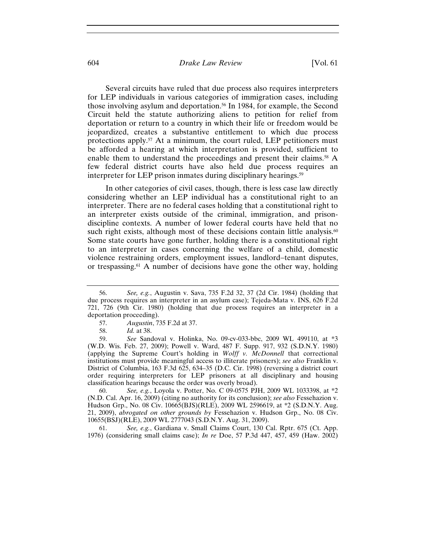#### 604 *Drake Law Review* [Vol. 61

Several circuits have ruled that due process also requires interpreters for LEP individuals in various categories of immigration cases, including those involving asylum and deportation.56 In 1984, for example, the Second Circuit held the statute authorizing aliens to petition for relief from deportation or return to a country in which their life or freedom would be jeopardized, creates a substantive entitlement to which due process protections apply.57 At a minimum, the court ruled, LEP petitioners must be afforded a hearing at which interpretation is provided, sufficient to enable them to understand the proceedings and present their claims.58 A few federal district courts have also held due process requires an interpreter for LEP prison inmates during disciplinary hearings.<sup>59</sup>

In other categories of civil cases, though, there is less case law directly considering whether an LEP individual has a constitutional right to an interpreter. There are no federal cases holding that a constitutional right to an interpreter exists outside of the criminal, immigration, and prisondiscipline contexts. A number of lower federal courts have held that no such right exists, although most of these decisions contain little analysis.<sup>60</sup> Some state courts have gone further, holding there is a constitutional right to an interpreter in cases concerning the welfare of a child, domestic violence restraining orders, employment issues, landlord-tenant disputes, or trespassing.61 A number of decisions have gone the other way, holding

60. *See, e.g.*, Loyola v. Potter, No. C 09-0575 PJH, 2009 WL 1033398, at \*2 (N.D. Cal. Apr. 16, 2009) (citing no authority for its conclusion); *see also* Fessehazion v. Hudson Grp., No. 08 Civ. 10665(BJS)(RLE), 2009 WL 2596619, at \*2 (S.D.N.Y. Aug. 21, 2009), *abrogated on other grounds by* Fessehazion v. Hudson Grp., No. 08 Civ. 10655(BSJ)(RLE), 2009 WL 2777043 (S.D.N.Y. Aug. 31, 2009).

61. *See, e.g.*, Gardiana v. Small Claims Court, 130 Cal. Rptr. 675 (Ct. App. 1976) (considering small claims case); *In re* Doe, 57 P.3d 447, 457, 459 (Haw. 2002)

<sup>56.</sup> *See, e.g.*, Augustin v. Sava, 735 F.2d 32, 37 (2d Cir. 1984) (holding that due process requires an interpreter in an asylum case); Tejeda-Mata v. INS, 626 F.2d 721, 726 (9th Cir. 1980) (holding that due process requires an interpreter in a deportation proceeding).

<sup>57.</sup> *Augustin*, 735 F.2d at 37.

<sup>58.</sup> *Id.* at 38.

<sup>59.</sup> *See* Sandoval v. Holinka, No. 09-cv-033-bbc, 2009 WL 499110, at \*3 (W.D. Wis. Feb. 27, 2009); Powell v. Ward, 487 F. Supp. 917, 932 (S.D.N.Y. 1980) (applying the Supreme Court's holding in *Wolff v. McDonnell* that correctional institutions must provide meaningful access to illiterate prisoners); *see also* Franklin v. District of Columbia, 163 F.3d 625, 634–35 (D.C. Cir. 1998) (reversing a district court order requiring interpreters for LEP prisoners at all disciplinary and housing classification hearings because the order was overly broad).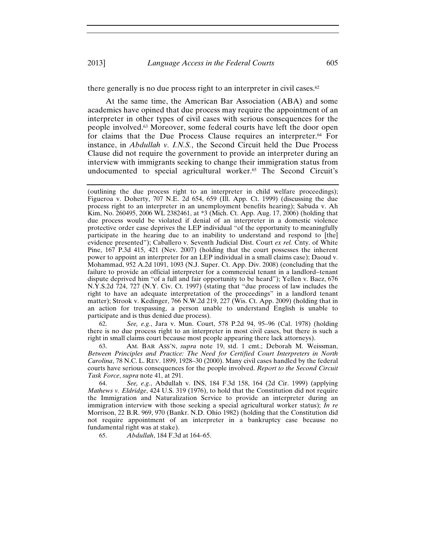there generally is no due process right to an interpreter in civil cases.<sup>62</sup>

At the same time, the American Bar Association (ABA) and some academics have opined that due process may require the appointment of an interpreter in other types of civil cases with serious consequences for the people involved.63 Moreover, some federal courts have left the door open for claims that the Due Process Clause requires an interpreter.64 For instance, in *Abdullah v. I.N.S.*, the Second Circuit held the Due Process Clause did not require the government to provide an interpreter during an interview with immigrants seeking to change their immigration status from undocumented to special agricultural worker.65 The Second Circuit's

62. *See, e.g.*, Jara v. Mun. Court, 578 P.2d 94, 95–96 (Cal. 1978) (holding there is no due process right to an interpreter in most civil cases, but there is such a right in small claims court because most people appearing there lack attorneys).

63. AM. BAR ASS'N, *supra* note 19, std. 1 cmt.; Deborah M. Weissman, *Between Principles and Practice: The Need for Certified Court Interpreters in North Carolina*, 78 N.C. L. REV. 1899, 1928–30 (2000). Many civil cases handled by the federal courts have serious consequences for the people involved. *Report to the Second Circuit Task Force*, *supra* note 41, at 291.

64. *See, e.g.*, Abdullah v. INS, 184 F.3d 158, 164 (2d Cir. 1999) (applying *Mathews v. Eldridge*, 424 U.S. 319 (1976), to hold that the Constitution did not require the Immigration and Naturalization Service to provide an interpreter during an immigration interview with those seeking a special agricultural worker status); *In re* Morrison, 22 B.R. 969, 970 (Bankr. N.D. Ohio 1982) (holding that the Constitution did not require appointment of an interpreter in a bankruptcy case because no fundamental right was at stake).

65. *Abdullah*, 184 F.3d at 164–65.

<sup>(</sup>outlining the due process right to an interpreter in child welfare proceedings); Figueroa v. Doherty, 707 N.E. 2d 654, 659 (Ill. App. Ct. 1999) (discussing the due process right to an interpreter in an unemployment benefits hearing); Sabuda v. Ah Kim, No. 260495, 2006 WL 2382461, at \*3 (Mich. Ct. App. Aug. 17, 2006) (holding that due process would be violated if denial of an interpreter in a domestic violence protective order case deprives the LEP individual "of the opportunity to meaningfully participate in the hearing due to an inability to understand and respond to [the] evidence presented"); Caballero v. Seventh Judicial Dist. Court ex rel. Cnty. of White Pine, 167 P.3d 415, 421 (Nev. 2007) (holding that the court possesses the inherent power to appoint an interpreter for an LEP individual in a small claims case); Daoud v. Mohammad, 952 A.2d 1091, 1093 (N.J. Super. Ct. App. Div. 2008) (concluding that the failure to provide an official interpreter for a commercial tenant in a landlord-tenant dispute deprived him "of a full and fair opportunity to be heard"); Yellen v. Baez, 676 N.Y.S.2d 724, 727 (N.Y. Civ. Ct. 1997) (stating that "due process of law includes the right to have an adequate interpretation of the proceedings" in a landlord tenant matter); Strook v. Kedinger, 766 N.W.2d 219, 227 (Wis. Ct. App. 2009) (holding that in an action for trespassing, a person unable to understand English is unable to participate and is thus denied due process).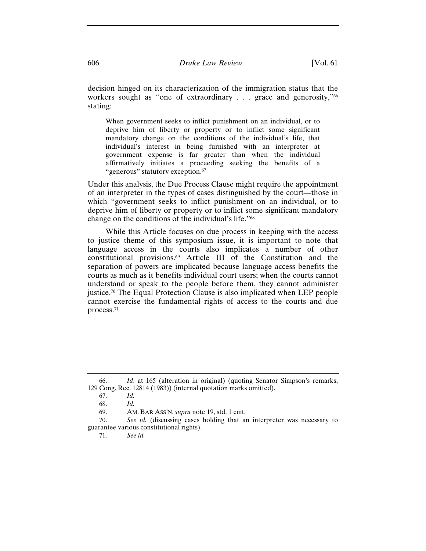decision hinged on its characterization of the immigration status that the workers sought as "one of extraordinary . . . grace and generosity,"<sup>66</sup> stating:

When government seeks to inflict punishment on an individual, or to deprive him of liberty or property or to inflict some significant mandatory change on the conditions of the individual's life, that individual's interest in being furnished with an interpreter at government expense is far greater than when the individual affirmatively initiates a proceeding seeking the benefits of a "generous" statutory exception.<sup>67</sup>

Under this analysis, the Due Process Clause might require the appointment of an interpreter in the types of cases distinguished by the court—those in which "government seeks to inflict punishment on an individual, or to deprive him of liberty or property or to inflict some significant mandatory change on the conditions of the individual's life."68

While this Article focuses on due process in keeping with the access to justice theme of this symposium issue, it is important to note that language access in the courts also implicates a number of other constitutional provisions.69 Article III of the Constitution and the separation of powers are implicated because language access benefits the courts as much as it benefits individual court users; when the courts cannot understand or speak to the people before them, they cannot administer justice.70 The Equal Protection Clause is also implicated when LEP people cannot exercise the fundamental rights of access to the courts and due process.71

<sup>66.</sup> *Id*. at 165 (alteration in original) (quoting Senator Simpson's remarks, 129 Cong. Rec. 12814 (1983)) (internal quotation marks omitted).

<sup>67.</sup> *Id.*

<sup>68.</sup> *Id.*

<sup>69.</sup> AM. BAR ASS'N, *supra* note 19, std. 1 cmt.

<sup>70.</sup> *See id.* (discussing cases holding that an interpreter was necessary to guarantee various constitutional rights).

<sup>71.</sup> *See id.*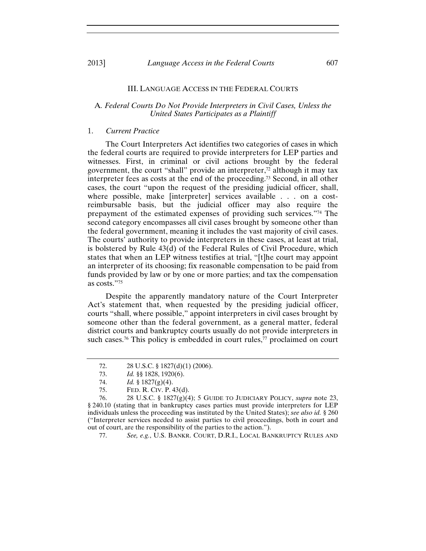#### III. LANGUAGE ACCESS IN THE FEDERAL COURTS

## A*. Federal Courts Do Not Provide Interpreters in Civil Cases, Unless the United States Participates as a Plaintiff*

## 1. *Current Practice*

The Court Interpreters Act identifies two categories of cases in which the federal courts are required to provide interpreters for LEP parties and witnesses. First, in criminal or civil actions brought by the federal government, the court "shall" provide an interpreter, $\frac{7}{2}$  although it may tax interpreter fees as costs at the end of the proceeding.73 Second, in all other cases, the court "upon the request of the presiding judicial officer, shall, where possible, make [interpreter] services available . . . on a costreimbursable basis, but the judicial officer may also require the prepayment of the estimated expenses of providing such services."74 The second category encompasses all civil cases brought by someone other than the federal government, meaning it includes the vast majority of civil cases. The courts' authority to provide interpreters in these cases, at least at trial, is bolstered by Rule 43(d) of the Federal Rules of Civil Procedure, which states that when an LEP witness testifies at trial, "[t]he court may appoint an interpreter of its choosing; fix reasonable compensation to be paid from funds provided by law or by one or more parties; and tax the compensation as costs."75

Despite the apparently mandatory nature of the Court Interpreter Act's statement that, when requested by the presiding judicial officer, courts "shall, where possible," appoint interpreters in civil cases brought by someone other than the federal government, as a general matter, federal district courts and bankruptcy courts usually do not provide interpreters in such cases.76 This policy is embedded in court rules,77 proclaimed on court

77. *See, e.g.*, U.S. BANKR. COURT, D.R.I., LOCAL BANKRUPTCY RULES AND

<sup>72. 28</sup> U.S.C. § 1827(d)(1) (2006).

<sup>73.</sup> *Id.* §§ 1828, 1920(6).

<sup>74.</sup> *Id.* § 1827(g)(4).

<sup>75.</sup> FED. R. CIV. P. 43(d).

<sup>76. 28</sup> U.S.C. § 1827(g)(4); 5 GUIDE TO JUDICIARY POLICY, *supra* note 23, § 240.10 (stating that in bankruptcy cases parties must provide interpreters for LEP individuals unless the proceeding was instituted by the United States); *see also id.* § 260 ("Interpreter services needed to assist parties to civil proceedings, both in court and out of court, are the responsibility of the parties to the action.").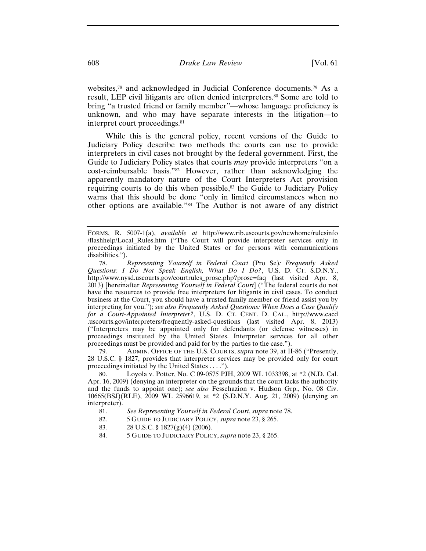websites,78 and acknowledged in Judicial Conference documents.79 As a result, LEP civil litigants are often denied interpreters.80 Some are told to bring "a trusted friend or family member"—whose language proficiency is unknown, and who may have separate interests in the litigation—to interpret court proceedings.<sup>81</sup>

While this is the general policy, recent versions of the Guide to Judiciary Policy describe two methods the courts can use to provide interpreters in civil cases not brought by the federal government. First, the Guide to Judiciary Policy states that courts *may* provide interpreters "on a cost-reimbursable basis."82 However, rather than acknowledging the apparently mandatory nature of the Court Interpreters Act provision requiring courts to do this when possible,<sup>83</sup> the Guide to Judiciary Policy warns that this should be done "only in limited circumstances when no other options are available."84 The Author is not aware of any district

79. ADMIN. OFFICE OF THE U.S. COURTS, *supra* note 39, at II-86 ("Presently, 28 U.S.C. § 1827, provides that interpreter services may be provided only for court proceedings initiated by the United States . . . .").

Loyola v. Potter, No. C 09-0575 PJH, 2009 WL 1033398, at \*2 (N.D. Cal.) Apr. 16, 2009) (denying an interpreter on the grounds that the court lacks the authority and the funds to appoint one); *see also* Fessehazion v. Hudson Grp., No. 08 Civ. 10665(BSJ)(RLE), 2009 WL 2596619, at \*2 (S.D.N.Y. Aug. 21, 2009) (denying an interpreter).

- 81. *See Representing Yourself in Federal Court*, *supra* note 78.
- 82. 5 GUIDE TO JUDICIARY POLICY, *supra* note 23, § 265.
- 83. 28 U.S.C. § 1827(g)(4) (2006).
- 84. 5 GUIDE TO JUDICIARY POLICY, *supra* note 23, § 265.

FORMS, R. 5007-1(a), *available at* http://www.rib.uscourts.gov/newhome/rulesinfo /flashhelp/Local\_Rules.htm ("The Court will provide interpreter services only in proceedings initiated by the United States or for persons with communications disabilities.").

<sup>78.</sup> *Representing Yourself in Federal Court* (Pro Se)*: Frequently Asked Questions: I Do Not Speak English, What Do I Do?*, U.S. D. CT. S.D.N.Y., http://www.nysd.uscourts.gov/courtrules\_prose.php?prose=faq (last visited Apr. 8, 2013) [hereinafter *Representing Yourself in Federal Court*] ("The federal courts do not have the resources to provide free interpreters for litigants in civil cases. To conduct business at the Court, you should have a trusted family member or friend assist you by interpreting for you."); *see also Frequently Asked Questions: When Does a Case Qualify for a Court-Appointed Interpreter?*, U.S. D. CT. CENT. D. CAL., http://www.cacd .uscourts.gov/interpreters/frequently-asked-questions (last visited Apr. 8, 2013) ("Interpreters may be appointed only for defendants (or defense witnesses) in proceedings instituted by the United States. Interpreter services for all other proceedings must be provided and paid for by the parties to the case.").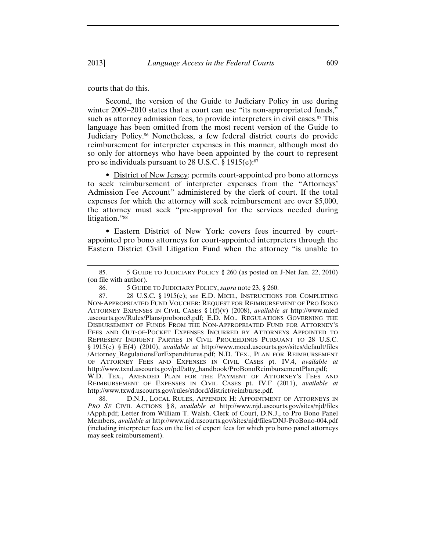courts that do this.

Second, the version of the Guide to Judiciary Policy in use during winter  $2009-2010$  states that a court can use "its non-appropriated funds," such as attorney admission fees, to provide interpreters in civil cases.<sup>85</sup> This language has been omitted from the most recent version of the Guide to Judiciary Policy.86 Nonetheless, a few federal district courts do provide reimbursement for interpreter expenses in this manner, although most do so only for attorneys who have been appointed by the court to represent pro se individuals pursuant to 28 U.S.C. § 1915(e):87

• District of New Jersey: permits court-appointed pro bono attorneys to seek reimbursement of interpreter expenses from the "Attorneys' Admission Fee Account" administered by the clerk of court. If the total expenses for which the attorney will seek reimbursement are over \$5,000, the attorney must seek "pre-approval for the services needed during litigation."88

• Eastern District of New York: covers fees incurred by courtappointed pro bono attorneys for court-appointed interpreters through the Eastern District Civil Litigation Fund when the attorney "is unable to

88. D.N.J., LOCAL RULES, APPENDIX H: APPOINTMENT OF ATTORNEYS IN *PRO SE* CIVIL ACTIONS § 8, *available at* http://www.njd.uscourts.gov/sites/njd/files /Apph.pdf; Letter from William T. Walsh, Clerk of Court, D.N.J., to Pro Bono Panel Members, *available at* http://www.njd.uscourts.gov/sites/njd/files/DNJ-ProBono-004.pdf (including interpreter fees on the list of expert fees for which pro bono panel attorneys may seek reimbursement).

<sup>85. 5</sup> GUIDE TO JUDICIARY POLICY § 260 (as posted on J-Net Jan. 22, 2010) (on file with author).

<sup>86. 5</sup> GUIDE TO JUDICIARY POLICY, *supra* note 23, § 260.

<sup>87. 28</sup> U.S.C. § 1915(e); *see* E.D. MICH., INSTRUCTIONS FOR COMPLETING NON-APPROPRIATED FUND VOUCHER: REQUEST FOR REIMBURSEMENT OF PRO BONO ATTORNEY EXPENSES IN CIVIL CASES § 1(f)(v) (2008), *available at* http://www.mied .uscourts.gov/Rules/Plans/probono3.pdf; E.D. MO., REGULATIONS GOVERNING THE DISBURSEMENT OF FUNDS FROM THE NON-APPROPRIATED FUND FOR ATTORNEY'S FEES AND OUT-OF-POCKET EXPENSES INCURRED BY ATTORNEYS APPOINTED TO REPRESENT INDIGENT PARTIES IN CIVIL PROCEEDINGS PURSUANT TO 28 U.S.C. § 1915(e) § E(4) (2010), *available at* http://www.moed.uscourts.gov/sites/default/files /Attorney\_RegulationsForExpenditures.pdf; N.D. TEX., PLAN FOR REIMBURSEMENT OF ATTORNEY FEES AND EXPENSES IN CIVIL CASES pt. IV.4, *available at*  http://www.txnd.uscourts.gov/pdf/atty\_handbook/ProBonoReimbursementPlan.pdf; W.D. TEX., AMENDED PLAN FOR THE PAYMENT OF ATTORNEY'S FEES AND REIMBURSEMENT OF EXPENSES IN CIVIL CASES pt. IV.F (2011), *available at* http://www.txwd.uscourts.gov/rules/stdord/district/reimburse.pdf.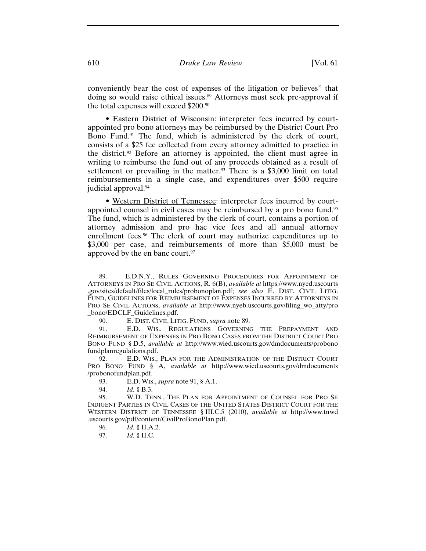conveniently bear the cost of expenses of the litigation or believes" that doing so would raise ethical issues.<sup>89</sup> Attorneys must seek pre-approval if the total expenses will exceed \$200.90

• Eastern District of Wisconsin: interpreter fees incurred by courtappointed pro bono attorneys may be reimbursed by the District Court Pro Bono Fund.<sup>91</sup> The fund, which is administered by the clerk of court, consists of a \$25 fee collected from every attorney admitted to practice in the district.92 Before an attorney is appointed, the client must agree in writing to reimburse the fund out of any proceeds obtained as a result of settlement or prevailing in the matter.<sup>93</sup> There is a  $$3,000$  limit on total reimbursements in a single case, and expenditures over \$500 require judicial approval.94

• Western District of Tennessee: interpreter fees incurred by courtappointed counsel in civil cases may be reimbursed by a pro bono fund.95 The fund, which is administered by the clerk of court, contains a portion of attorney admission and pro hac vice fees and all annual attorney enrollment fees.<sup>96</sup> The clerk of court may authorize expenditures up to \$3,000 per case, and reimbursements of more than \$5,000 must be approved by the en banc court.<sup>97</sup>

90. E. DIST. CIVIL LITIG. FUND, *supra* note 89.

91. E.D. WIS., REGULATIONS GOVERNING THE PREPAYMENT AND REIMBURSEMENT OF EXPENSES IN PRO BONO CASES FROM THE DISTRICT COURT PRO BONO FUND § D.5, *available at* http://www.wied.uscourts.gov/dmdocuments/probono fundplanregulations.pdf.

92. E.D. WIS., PLAN FOR THE ADMINISTRATION OF THE DISTRICT COURT PRO BONO FUND § A, *available at* http://www.wied.uscourts.gov/dmdocuments /probonofundplan.pdf.

93. E.D. WIS., *supra* note 91, § A.1.

94. *Id.* § B.3.

- 96. *Id.* § II.A.2.
- 97. *Id.* § II.C.

<sup>89.</sup> E.D.N.Y., RULES GOVERNING PROCEDURES FOR APPOINTMENT OF ATTORNEYS IN PRO SE CIVIL ACTIONS, R. 6(B), *available at* https://www.nyed.uscourts .gov/sites/default/files/local\_rules/probonoplan.pdf; *see also* E. DIST. CIVIL LITIG. FUND, GUIDELINES FOR REIMBURSEMENT OF EXPENSES INCURRED BY ATTORNEYS IN PRO SE CIVIL ACTIONS, *available at* http://www.nyeb.uscourts.gov/filing\_wo\_atty/pro \_bono/EDCLF\_Guidelines.pdf.

<sup>95.</sup> W.D. TENN., THE PLAN FOR APPOINTMENT OF COUNSEL FOR PRO SE INDIGENT PARTIES IN CIVIL CASES OF THE UNITED STATES DISTRICT COURT FOR THE WESTERN DISTRICT OF TENNESSEE § III.C.5 (2010), *available at* http://www.tnwd .uscourts.gov/pdf/content/CivilProBonoPlan.pdf.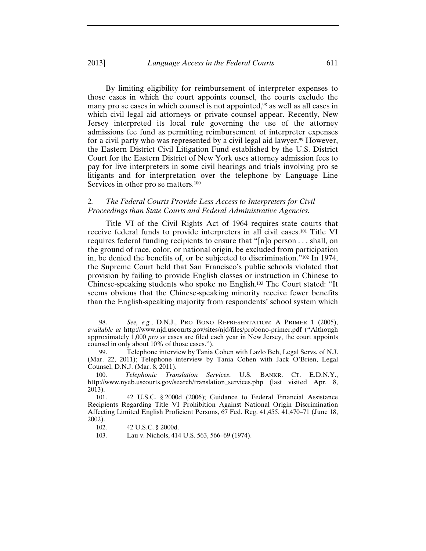## 2013] *Language Access in the Federal Courts* 611

By limiting eligibility for reimbursement of interpreter expenses to those cases in which the court appoints counsel, the courts exclude the many pro se cases in which counsel is not appointed,<sup>98</sup> as well as all cases in which civil legal aid attorneys or private counsel appear. Recently, New Jersey interpreted its local rule governing the use of the attorney admissions fee fund as permitting reimbursement of interpreter expenses for a civil party who was represented by a civil legal aid lawyer.<sup>99</sup> However, the Eastern District Civil Litigation Fund established by the U.S. District Court for the Eastern District of New York uses attorney admission fees to pay for live interpreters in some civil hearings and trials involving pro se litigants and for interpretation over the telephone by Language Line Services in other pro se matters.<sup>100</sup>

## 2*. The Federal Courts Provide Less Access to Interpreters for Civil Proceedings than State Courts and Federal Administrative Agencies.*

Title VI of the Civil Rights Act of 1964 requires state courts that receive federal funds to provide interpreters in all civil cases.101 Title VI requires federal funding recipients to ensure that "[n]o person . . . shall, on the ground of race, color, or national origin, be excluded from participation in, be denied the benefits of, or be subjected to discrimination."102 In 1974, the Supreme Court held that San Francisco's public schools violated that provision by failing to provide English classes or instruction in Chinese to Chinese-speaking students who spoke no English.103 The Court stated: "It seems obvious that the Chinese-speaking minority receive fewer benefits than the English-speaking majority from respondents' school system which

<sup>98.</sup> *See, e.g.*, D.N.J., PRO BONO REPRESENTATION: A PRIMER 1 (2005), *available at* http://www.njd.uscourts.gov/sites/njd/files/probono-primer.pdf ("Although approximately 1,000 *pro se* cases are filed each year in New Jersey, the court appoints counsel in only about 10% of those cases.").

<sup>99.</sup> Telephone interview by Tania Cohen with Lazlo Beh, Legal Servs. of N.J. (Mar. 22, 2011); Telephone interview by Tania Cohen with Jack O'Brien, Legal Counsel, D.N.J. (Mar. 8, 2011).

<sup>100.</sup> *Telephonic Translation Services*, U.S. BANKR. CT. E.D.N.Y., http://www.nyeb.uscourts.gov/search/translation\_services.php (last visited Apr. 8, 2013).

<sup>101. 42</sup> U.S.C. § 2000d (2006); Guidance to Federal Financial Assistance Recipients Regarding Title VI Prohibition Against National Origin Discrimination Affecting Limited English Proficient Persons, 67 Fed. Reg. 41,455, 41,470–71 (June 18, 2002).

<sup>102. 42</sup> U.S.C. § 2000d.

<sup>103.</sup> Lau v. Nichols, 414 U.S. 563, 566–69 (1974).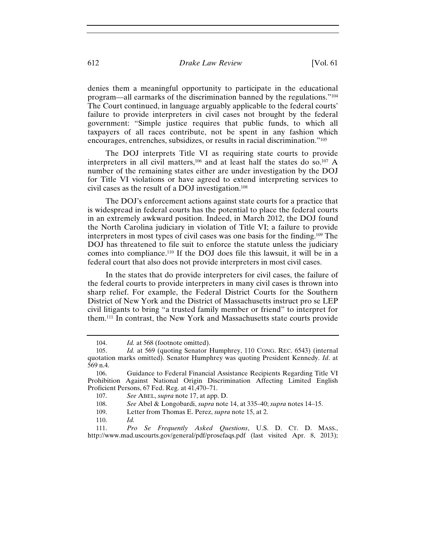denies them a meaningful opportunity to participate in the educational program—all earmarks of the discrimination banned by the regulations."104 The Court continued, in language arguably applicable to the federal courts' failure to provide interpreters in civil cases not brought by the federal government: "Simple justice requires that public funds, to which all taxpayers of all races contribute, not be spent in any fashion which encourages, entrenches, subsidizes, or results in racial discrimination."105

The DOJ interprets Title VI as requiring state courts to provide interpreters in all civil matters,106 and at least half the states do so.107 A number of the remaining states either are under investigation by the DOJ for Title VI violations or have agreed to extend interpreting services to civil cases as the result of a DOJ investigation.108

The DOJ's enforcement actions against state courts for a practice that is widespread in federal courts has the potential to place the federal courts in an extremely awkward position. Indeed, in March 2012, the DOJ found the North Carolina judiciary in violation of Title VI; a failure to provide interpreters in most types of civil cases was one basis for the finding.109 The DOJ has threatened to file suit to enforce the statute unless the judiciary comes into compliance.110 If the DOJ does file this lawsuit, it will be in a federal court that also does not provide interpreters in most civil cases.

In the states that do provide interpreters for civil cases, the failure of the federal courts to provide interpreters in many civil cases is thrown into sharp relief. For example, the Federal District Courts for the Southern District of New York and the District of Massachusetts instruct pro se LEP civil litigants to bring "a trusted family member or friend" to interpret for them.111 In contrast, the New York and Massachusetts state courts provide

110. *Id.*

111. *Pro Se Frequently Asked Questions*, U.S. D. CT. D. MASS., http://www.mad.uscourts.gov/general/pdf/prosefaqs.pdf (last visited Apr. 8, 2013);

<sup>104.</sup> *Id.* at 568 (footnote omitted).

<sup>105.</sup> *Id.* at 569 (quoting Senator Humphrey, 110 CONG. REC. 6543) (internal quotation marks omitted). Senator Humphrey was quoting President Kennedy. *Id*. at 569 n.4.

<sup>106.</sup> Guidance to Federal Financial Assistance Recipients Regarding Title VI Prohibition Against National Origin Discrimination Affecting Limited English Proficient Persons, 67 Fed. Reg. at 41,470–71.

<sup>107.</sup> *See* ABEL, *supra* note 17, at app. D.

<sup>108.</sup> *See* Abel & Longobardi, *supra* note 14, at 335–40; *supra* notes 14–15.

<sup>109.</sup> Letter from Thomas E. Perez, *supra* note 15, at 2.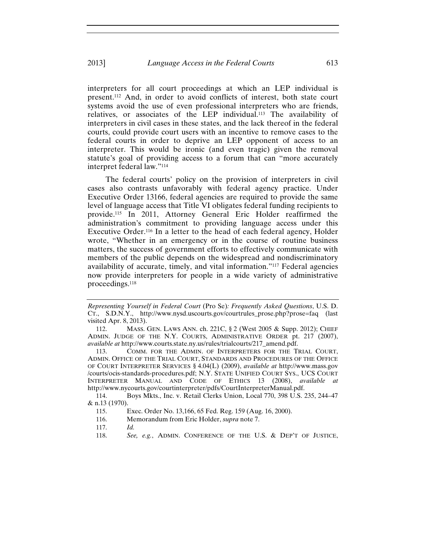interpreters for all court proceedings at which an LEP individual is present.112 And, in order to avoid conflicts of interest, both state court systems avoid the use of even professional interpreters who are friends, relatives, or associates of the LEP individual.113 The availability of interpreters in civil cases in these states, and the lack thereof in the federal courts, could provide court users with an incentive to remove cases to the federal courts in order to deprive an LEP opponent of access to an interpreter. This would be ironic (and even tragic) given the removal statute's goal of providing access to a forum that can "more accurately interpret federal law."114

The federal courts' policy on the provision of interpreters in civil cases also contrasts unfavorably with federal agency practice. Under Executive Order 13166, federal agencies are required to provide the same level of language access that Title VI obligates federal funding recipients to provide.115 In 2011, Attorney General Eric Holder reaffirmed the administration's commitment to providing language access under this Executive Order.116 In a letter to the head of each federal agency, Holder wrote, "Whether in an emergency or in the course of routine business matters, the success of government efforts to effectively communicate with members of the public depends on the widespread and nondiscriminatory availability of accurate, timely, and vital information."117 Federal agencies now provide interpreters for people in a wide variety of administrative proceedings.118

113. COMM. FOR THE ADMIN. OF INTERPRETERS FOR THE TRIAL COURT, ADMIN. OFFICE OF THE TRIAL COURT, STANDARDS AND PROCEDURES OF THE OFFICE OF COURT INTERPRETER SERVICES § 4.04(L) (2009), *available at* http://www.mass.gov /courts/ocis-standards-procedures.pdf; N.Y. STATE UNIFIED COURT SYS., UCS COURT INTERPRETER MANUAL AND CODE OF ETHICS 13 (2008), *available at*  http://www.nycourts.gov/courtinterpreter/pdfs/CourtInterpreterManual.pdf.

114. Boys Mkts., Inc. v. Retail Clerks Union, Local 770, 398 U.S. 235, 244–47 & n.13 (1970).

*Representing Yourself in Federal Court* (Pro Se)*: Frequently Asked Questions*, U.S. D. CT., S.D.N.Y., http://www.nysd.uscourts.gov/courtrules\_prose.php?prose=faq (last visited Apr. 8, 2013).

<sup>112.</sup> MASS. GEN. LAWS ANN. ch. 221C, § 2 (West 2005 & Supp. 2012); CHIEF ADMIN. JUDGE OF THE N.Y. COURTS, ADMINISTRATIVE ORDER pt. 217 (2007), *available at* http://www.courts.state.ny.us/rules/trialcourts/217\_amend.pdf.

<sup>115.</sup> Exec. Order No. 13,166, 65 Fed. Reg. 159 (Aug. 16, 2000).

<sup>116.</sup> Memorandum from Eric Holder, *supra* note 7.

<sup>117.</sup> *Id.* 

<sup>118.</sup> *See, e.g.*, ADMIN. CONFERENCE OF THE U.S. & DEP'T OF JUSTICE,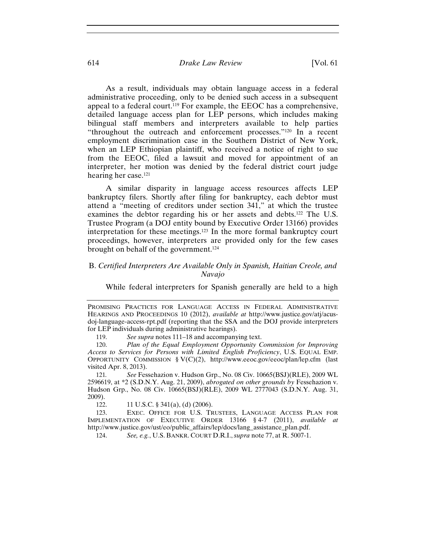## 614 *Drake Law Review* [Vol. 61

As a result, individuals may obtain language access in a federal administrative proceeding, only to be denied such access in a subsequent appeal to a federal court.119 For example, the EEOC has a comprehensive, detailed language access plan for LEP persons, which includes making bilingual staff members and interpreters available to help parties "throughout the outreach and enforcement processes."120 In a recent employment discrimination case in the Southern District of New York, when an LEP Ethiopian plaintiff, who received a notice of right to sue from the EEOC, filed a lawsuit and moved for appointment of an interpreter, her motion was denied by the federal district court judge hearing her case.121

A similar disparity in language access resources affects LEP bankruptcy filers. Shortly after filing for bankruptcy, each debtor must attend a "meeting of creditors under section 341," at which the trustee examines the debtor regarding his or her assets and debts.122 The U.S. Trustee Program (a DOJ entity bound by Executive Order 13166) provides interpretation for these meetings.123 In the more formal bankruptcy court proceedings, however, interpreters are provided only for the few cases brought on behalf of the government.124

## B. *Certified Interpreters Are Available Only in Spanish, Haitian Creole, and Navajo*

While federal interpreters for Spanish generally are held to a high

PROMISING PRACTICES FOR LANGUAGE ACCESS IN FEDERAL ADMINISTRATIVE HEARINGS AND PROCEEDINGS 10 (2012), *available at* http://www.justice.gov/atj/acusdoj-language-access-rpt.pdf (reporting that the SSA and the DOJ provide interpreters for LEP individuals during administrative hearings).

<sup>119.</sup> *See supra* notes 111–18 and accompanying text.

<sup>120.</sup> *Plan of the Equal Employment Opportunity Commission for Improving Access to Services for Persons with Limited English Proficiency*, U.S. EQUAL EMP. OPPORTUNITY COMMISSION § V(C)(2), http://www.eeoc.gov/eeoc/plan/lep.cfm (last visited Apr. 8, 2013).

<sup>121</sup>*. See* Fessehazion v. Hudson Grp., No. 08 Civ. 10665(BSJ)(RLE), 2009 WL 2596619, at \*2 (S.D.N.Y. Aug. 21, 2009), *abrogated on other grounds by* Fessehazion v. Hudson Grp., No. 08 Civ. 10665(BSJ)(RLE), 2009 WL 2777043 (S.D.N.Y. Aug. 31, 2009).

<sup>122. 11</sup> U.S.C. § 341(a), (d) (2006).

<sup>123.</sup> EXEC. OFFICE FOR U.S. TRUSTEES, LANGUAGE ACCESS PLAN FOR IMPLEMENTATION OF EXECUTIVE ORDER 13166 § 4-7 (2011), *available at* http://www.justice.gov/ust/eo/public\_affairs/lep/docs/lang\_assistance\_plan.pdf.

<sup>124.</sup> *See, e.g.*, U.S. BANKR. COURT D.R.I.,*supra* note 77, at R. 5007-1.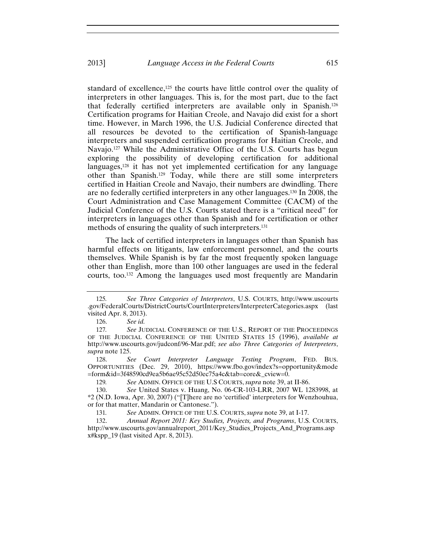standard of excellence,<sup>125</sup> the courts have little control over the quality of interpreters in other languages. This is, for the most part, due to the fact that federally certified interpreters are available only in Spanish.126 Certification programs for Haitian Creole, and Navajo did exist for a short time. However, in March 1996, the U.S. Judicial Conference directed that all resources be devoted to the certification of Spanish-language interpreters and suspended certification programs for Haitian Creole, and Navajo.<sup>127</sup> While the Administrative Office of the U.S. Courts has begun exploring the possibility of developing certification for additional languages,128 it has not yet implemented certification for any language other than Spanish.129 Today, while there are still some interpreters certified in Haitian Creole and Navajo, their numbers are dwindling. There are no federally certified interpreters in any other languages.130 In 2008, the Court Administration and Case Management Committee (CACM) of the Judicial Conference of the U.S. Courts stated there is a "critical need" for interpreters in languages other than Spanish and for certification or other methods of ensuring the quality of such interpreters.<sup>131</sup>

The lack of certified interpreters in languages other than Spanish has harmful effects on litigants, law enforcement personnel, and the courts themselves. While Spanish is by far the most frequently spoken language other than English, more than 100 other languages are used in the federal courts, too.132 Among the languages used most frequently are Mandarin

<sup>125</sup>*. See Three Categories of Interpreters*, U.S. COURTS, http://www.uscourts .gov/FederalCourts/DistrictCourts/CourtInterpreters/InterpreterCategories.aspx (last visited Apr. 8, 2013).

<sup>126.</sup> *See id.* 

<sup>127.</sup> See JUDICIAL CONFERENCE OF THE U.S., REPORT OF THE PROCEEDINGS OF THE JUDICIAL CONFERENCE OF THE UNITED STATES 15 (1996), *available at* http://www.uscourts.gov/judconf/96-Mar.pdf; *see also Three Categories of Interpreters*, *supra* note 125.

<sup>128.</sup> *See Court Interpreter Language Testing Program*, FED. BUS. OPPORTUNITIES (Dec. 29, 2010), https://www.fbo.gov/index?s=opportunity&mode =form&id=3f48590cd9ea5b6ae95c52d50ec75a4c&tab=core&\_cview=0.

<sup>129</sup>*. See* ADMIN. OFFICE OF THE U.S COURTS, *supra* note 39, at II-86.

<sup>130.</sup> *See* United States v. Huang, No. 06-CR-103-LRR, 2007 WL 1283998, at \*2 (N.D. Iowa, Apr. 30, 2007) ("[T]here are no 'certified' interpreters for Wenzhouhua, or for that matter, Mandarin or Cantonese.").

<sup>131</sup>*. See* ADMIN. OFFICE OF THE U.S. COURTS, *supra* note 39, at I-17.

<sup>132.</sup> *Annual Report 2011: Key Studies, Projects, and Programs*, U.S. COURTS, http://www.uscourts.gov/annualreport\_2011/Key\_Studies\_Projects\_And\_Programs.asp x#kspp\_19 (last visited Apr. 8, 2013).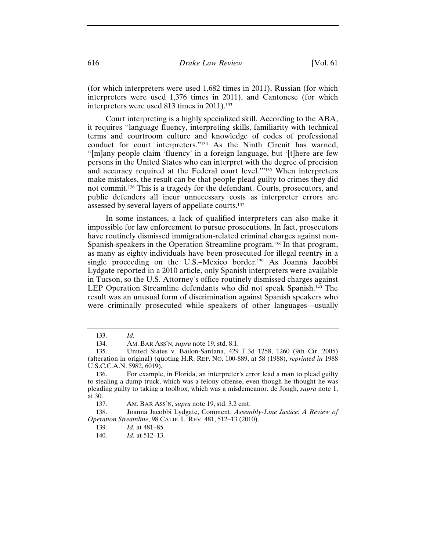(for which interpreters were used 1,682 times in 2011), Russian (for which interpreters were used 1,376 times in 2011), and Cantonese (for which interpreters were used 813 times in 2011).<sup>133</sup>

Court interpreting is a highly specialized skill. According to the ABA, it requires "language fluency, interpreting skills, familiarity with technical terms and courtroom culture and knowledge of codes of professional conduct for court interpreters."134 As the Ninth Circuit has warned, "[m]any people claim 'fluency' in a foreign language, but '[t]here are few persons in the United States who can interpret with the degree of precision and accuracy required at the Federal court level.'"135 When interpreters make mistakes, the result can be that people plead guilty to crimes they did not commit.136 This is a tragedy for the defendant. Courts, prosecutors, and public defenders all incur unnecessary costs as interpreter errors are assessed by several layers of appellate courts.137

In some instances, a lack of qualified interpreters can also make it impossible for law enforcement to pursue prosecutions. In fact, prosecutors have routinely dismissed immigration-related criminal charges against non-Spanish-speakers in the Operation Streamline program.138 In that program, as many as eighty individuals have been prosecuted for illegal reentry in a single proceeding on the U.S.–Mexico border.<sup>139</sup> As Joanna Jacobbi Lydgate reported in a 2010 article, only Spanish interpreters were available in Tucson, so the U.S. Attorney's office routinely dismissed charges against LEP Operation Streamline defendants who did not speak Spanish.140 The result was an unusual form of discrimination against Spanish speakers who were criminally prosecuted while speakers of other languages—usually

139. *Id.* at 481–85.

<sup>133.</sup> *Id.* 

<sup>134.</sup> AM. BAR ASS'N, *supra* note 19, std. 8.1.

<sup>135.</sup> United States v. Bailon-Santana, 429 F.3d 1258, 1260 (9th Cir. 2005) (alteration in original) (quoting H.R. REP. NO. 100-889, at 58 (1988), *reprinted in* 1988 U.S.C.C.A.N. 5982, 6019).

<sup>136.</sup> For example, in Florida, an interpreter's error lead a man to plead guilty to stealing a dump truck, which was a felony offense, even though he thought he was pleading guilty to taking a toolbox, which was a misdemeanor. de Jongh, *supra* note 1, at 30.

<sup>137.</sup> AM. BAR ASS'N, *supra* note 19, std. 3.2 cmt.

<sup>138.</sup> Joanna Jacobbi Lydgate, Comment, *Assembly-Line Justice: A Review of Operation Streamline*, 98 CALIF. L. REV. 481, 512–13 (2010).

<sup>140.</sup> *Id.* at 512–13.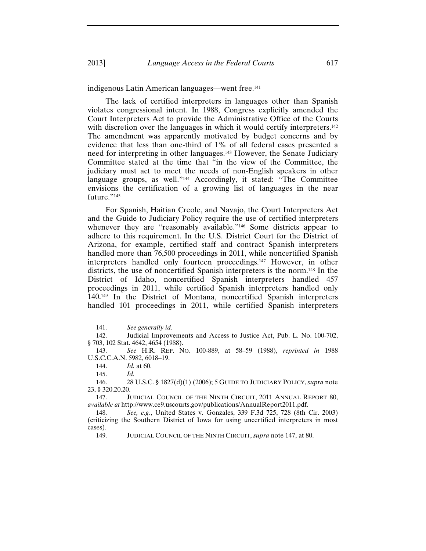#### indigenous Latin American languages—went free.141

The lack of certified interpreters in languages other than Spanish violates congressional intent. In 1988, Congress explicitly amended the Court Interpreters Act to provide the Administrative Office of the Courts with discretion over the languages in which it would certify interpreters.<sup>142</sup> The amendment was apparently motivated by budget concerns and by evidence that less than one-third of 1% of all federal cases presented a need for interpreting in other languages.143 However, the Senate Judiciary Committee stated at the time that "in the view of the Committee, the judiciary must act to meet the needs of non-English speakers in other language groups, as well."144 Accordingly, it stated: "The Committee envisions the certification of a growing list of languages in the near future."145

For Spanish, Haitian Creole, and Navajo, the Court Interpreters Act and the Guide to Judiciary Policy require the use of certified interpreters whenever they are "reasonably available."<sup>146</sup> Some districts appear to adhere to this requirement. In the U.S. District Court for the District of Arizona, for example, certified staff and contract Spanish interpreters handled more than 76,500 proceedings in 2011, while noncertified Spanish interpreters handled only fourteen proceedings.147 However, in other districts, the use of noncertified Spanish interpreters is the norm.148 In the District of Idaho, noncertified Spanish interpreters handled 457 proceedings in 2011, while certified Spanish interpreters handled only 140.149 In the District of Montana, noncertified Spanish interpreters handled 101 proceedings in 2011, while certified Spanish interpreters

<sup>141.</sup> *See generally id.* 

<sup>142.</sup> Judicial Improvements and Access to Justice Act, Pub. L. No. 100-702, § 703, 102 Stat. 4642, 4654 (1988).

<sup>143.</sup> *See* H.R. REP. NO. 100-889, at 58–59 (1988), *reprinted in* 1988 U.S.C.C.A.N. 5982, 6018–19.

<sup>144.</sup> *Id.* at 60.

<sup>145.</sup> *Id.* 

<sup>146. 28</sup> U.S.C. § 1827(d)(1) (2006); 5 GUIDE TO JUDICIARY POLICY, *supra* note 23, § 320.20.20.

<sup>147.</sup> JUDICIAL COUNCIL OF THE NINTH CIRCUIT, 2011 ANNUAL REPORT 80, *available at* http://www.ce9.uscourts.gov/publications/AnnualReport2011.pdf.

<sup>148.</sup> *See, e.g.*, United States v. Gonzales, 339 F.3d 725, 728 (8th Cir. 2003) (criticizing the Southern District of Iowa for using uncertified interpreters in most cases).

<sup>149.</sup> JUDICIAL COUNCIL OF THE NINTH CIRCUIT, *supra* note 147, at 80.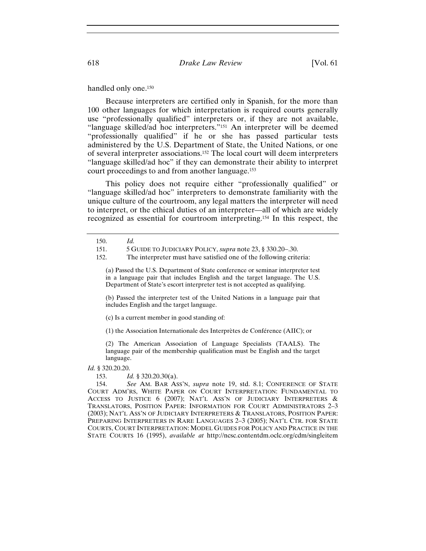handled only one.<sup>150</sup>

Because interpreters are certified only in Spanish, for the more than 100 other languages for which interpretation is required courts generally use "professionally qualified" interpreters or, if they are not available, "language skilled/ad hoc interpreters."151 An interpreter will be deemed "professionally qualified" if he or she has passed particular tests administered by the U.S. Department of State, the United Nations, or one of several interpreter associations.152 The local court will deem interpreters "language skilled/ad hoc" if they can demonstrate their ability to interpret court proceedings to and from another language.153

This policy does not require either "professionally qualified" or "language skilled/ad hoc" interpreters to demonstrate familiarity with the unique culture of the courtroom, any legal matters the interpreter will need to interpret, or the ethical duties of an interpreter—all of which are widely recognized as essential for courtroom interpreting.154 In this respect, the

(a) Passed the U.S. Department of State conference or seminar interpreter test in a language pair that includes English and the target language. The U.S. Department of State's escort interpreter test is not accepted as qualifying.

(b) Passed the interpreter test of the United Nations in a language pair that includes English and the target language.

(c) Is a current member in good standing of:

(1) the Association Internationale des Interprètes de Conférence (AIIC); or

(2) The American Association of Language Specialists (TAALS). The language pair of the membership qualification must be English and the target language.

*Id.* § 320.20.20.

153. *Id.* § 320.20.30(a).

154. *See* AM. BAR ASS'N, *supra* note 19, std. 8.1; CONFERENCE OF STATE COURT ADM'RS, WHITE PAPER ON COURT INTERPRETATION: FUNDAMENTAL TO ACCESS TO JUSTICE 6 (2007); NAT'L ASS'N OF JUDICIARY INTERPRETERS & TRANSLATORS, POSITION PAPER: INFORMATION FOR COURT ADMINISTRATORS 2–3 (2003); NAT'L ASS'N OF JUDICIARY INTERPRETERS & TRANSLATORS, POSITION PAPER: PREPARING INTERPRETERS IN RARE LANGUAGES 2–3 (2005); NAT'L CTR. FOR STATE COURTS, COURT INTERPRETATION: MODEL GUIDES FOR POLICY AND PRACTICE IN THE STATE COURTS 16 (1995), *available at* http://ncsc.contentdm.oclc.org/cdm/singleitem

<sup>150.</sup> *Id.*

<sup>151. 5</sup> GUIDE TO JUDICIARY POLICY, *supra* note 23, § 330.20–.30.

<sup>152.</sup> The interpreter must have satisfied one of the following criteria: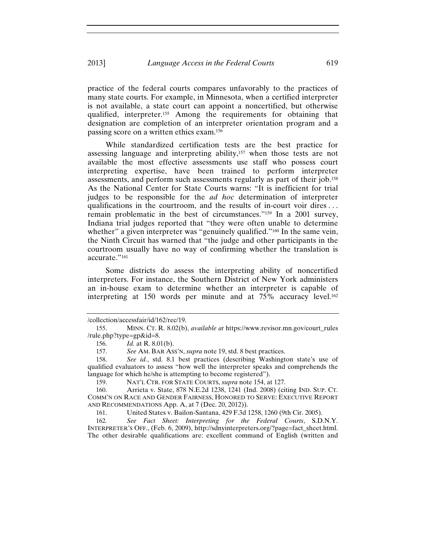practice of the federal courts compares unfavorably to the practices of many state courts. For example, in Minnesota, when a certified interpreter is not available, a state court can appoint a noncertified, but otherwise qualified, interpreter.155 Among the requirements for obtaining that designation are completion of an interpreter orientation program and a passing score on a written ethics exam.156

While standardized certification tests are the best practice for assessing language and interpreting ability,157 when those tests are not available the most effective assessments use staff who possess court interpreting expertise, have been trained to perform interpreter assessments, and perform such assessments regularly as part of their job.158 As the National Center for State Courts warns: "It is inefficient for trial judges to be responsible for the *ad hoc* determination of interpreter qualifications in the courtroom, and the results of in-court voir dires . . . remain problematic in the best of circumstances."159 In a 2001 survey, Indiana trial judges reported that "they were often unable to determine whether" a given interpreter was "genuinely qualified."<sup>160</sup> In the same vein, the Ninth Circuit has warned that "the judge and other participants in the courtroom usually have no way of confirming whether the translation is accurate."161

Some districts do assess the interpreting ability of noncertified interpreters. For instance, the Southern District of New York administers an in-house exam to determine whether an interpreter is capable of interpreting at 150 words per minute and at  $75\%$  accuracy level.<sup>162</sup>

<sup>/</sup>collection/accessfair/id/162/rec/19.

<sup>155.</sup> MINN. CT. R. 8.02(b), *available at* https://www.revisor.mn.gov/court\_rules /rule.php?type=gp&id=8.

<sup>156.</sup> *Id.* at R. 8.01(b).

<sup>157.</sup> *See* AM. BAR ASS'N, *supra* note 19, std. 8 best practices.

<sup>158.</sup> *See id.*, std. 8.1 best practices (describing Washington state's use of qualified evaluators to assess "how well the interpreter speaks and comprehends the language for which he/she is attempting to become registered").

<sup>159.</sup> NAT'L CTR. FOR STATE COURTS, *supra* note 154, at 127.

<sup>160.</sup> Arrieta v. State, 878 N.E.2d 1238, 1241 (Ind. 2008) (citing IND. SUP. CT. COMM'N ON RACE AND GENDER FAIRNESS, HONORED TO SERVE: EXECUTIVE REPORT AND RECOMMENDATIONS App. A, at 7 (Dec. 20, 2012)).

<sup>161.</sup> United States v. Bailon-Santana, 429 F.3d 1258, 1260 (9th Cir. 2005).

<sup>162</sup>*. See Fact Sheet: Interpreting for the Federal Courts*, S.D.N.Y. INTERPRETER'S OFF., (Feb. 6, 2009), http://sdnyinterpreters.org/?page=fact\_sheet.html. The other desirable qualifications are: excellent command of English (written and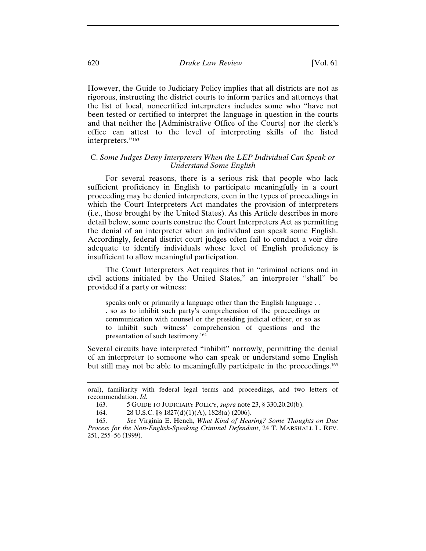## 620 *Drake Law Review* [Vol. 61

However, the Guide to Judiciary Policy implies that all districts are not as rigorous, instructing the district courts to inform parties and attorneys that the list of local, noncertified interpreters includes some who "have not been tested or certified to interpret the language in question in the courts and that neither the [Administrative Office of the Courts] nor the clerk's office can attest to the level of interpreting skills of the listed interpreters."<sup>163</sup>

## C. *Some Judges Deny Interpreters When the LEP Individual Can Speak or Understand Some English*

For several reasons, there is a serious risk that people who lack sufficient proficiency in English to participate meaningfully in a court proceeding may be denied interpreters, even in the types of proceedings in which the Court Interpreters Act mandates the provision of interpreters (i.e., those brought by the United States). As this Article describes in more detail below, some courts construe the Court Interpreters Act as permitting the denial of an interpreter when an individual can speak some English. Accordingly, federal district court judges often fail to conduct a voir dire adequate to identify individuals whose level of English proficiency is insufficient to allow meaningful participation.

The Court Interpreters Act requires that in "criminal actions and in civil actions initiated by the United States," an interpreter "shall" be provided if a party or witness:

speaks only or primarily a language other than the English language . . . so as to inhibit such party's comprehension of the proceedings or communication with counsel or the presiding judicial officer, or so as to inhibit such witness' comprehension of questions and the presentation of such testimony.164

Several circuits have interpreted "inhibit" narrowly, permitting the denial of an interpreter to someone who can speak or understand some English but still may not be able to meaningfully participate in the proceedings.165

oral), familiarity with federal legal terms and proceedings, and two letters of recommendation. *Id.*

<sup>163. 5</sup> GUIDE TO JUDICIARY POLICY, *supra* note 23, § 330.20.20(b).

<sup>164. 28</sup> U.S.C. §§ 1827(d)(1)(A), 1828(a) (2006).

<sup>165.</sup> *See* Virginia E. Hench, *What Kind of Hearing? Some Thoughts on Due Process for the Non-English-Speaking Criminal Defendant*, 24 T. MARSHALL L. REV. 251, 255–56 (1999).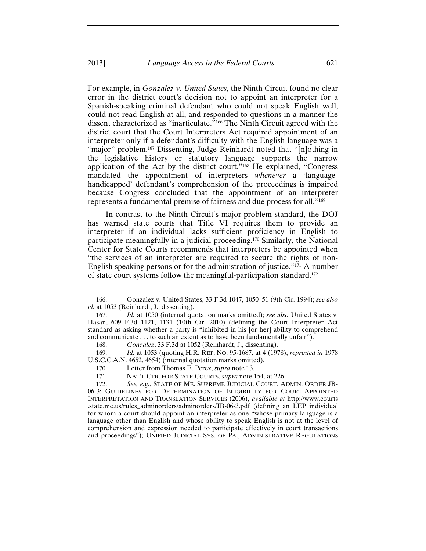For example, in *Gonzalez v. United States*, the Ninth Circuit found no clear error in the district court's decision not to appoint an interpreter for a Spanish-speaking criminal defendant who could not speak English well, could not read English at all, and responded to questions in a manner the dissent characterized as "inarticulate."166 The Ninth Circuit agreed with the district court that the Court Interpreters Act required appointment of an interpreter only if a defendant's difficulty with the English language was a "major" problem.<sup>167</sup> Dissenting, Judge Reinhardt noted that "[n]othing in the legislative history or statutory language supports the narrow application of the Act by the district court."168 He explained, "Congress mandated the appointment of interpreters *whenever* a 'languagehandicapped' defendant's comprehension of the proceedings is impaired because Congress concluded that the appointment of an interpreter represents a fundamental premise of fairness and due process for all."169

In contrast to the Ninth Circuit's major-problem standard, the DOJ has warned state courts that Title VI requires them to provide an interpreter if an individual lacks sufficient proficiency in English to participate meaningfully in a judicial proceeding.170 Similarly, the National Center for State Courts recommends that interpreters be appointed when "the services of an interpreter are required to secure the rights of non-English speaking persons or for the administration of justice."171 A number of state court systems follow the meaningful-participation standard.172

<sup>166.</sup> Gonzalez v. United States, 33 F.3d 1047, 1050–51 (9th Cir. 1994); *see also id.* at 1053 (Reinhardt, J., dissenting).

<sup>167.</sup> *Id.* at 1050 (internal quotation marks omitted); *see also* United States v. Hasan, 609 F.3d 1121, 1131 (10th Cir. 2010) (defining the Court Interpreter Act standard as asking whether a party is "inhibited in his [or her] ability to comprehend and communicate . . . to such an extent as to have been fundamentally unfair").

<sup>168.</sup> *Gonzalez*, 33 F.3d at 1052 (Reinhardt, J., dissenting).

<sup>169.</sup> *Id.* at 1053 (quoting H.R. REP. NO. 95-1687, at 4 (1978), *reprinted in* 1978 U.S.C.C.A.N. 4652, 4654) (internal quotation marks omitted).

<sup>170.</sup> Letter from Thomas E. Perez, *supra* note 13.

<sup>171.</sup> NAT'L CTR. FOR STATE COURTS, *supra* note 154, at 226.

<sup>172.</sup> *See, e.g.*, STATE OF ME. SUPREME JUDICIAL COURT, ADMIN. ORDER JB-06-3: GUIDELINES FOR DETERMINATION OF ELIGIBILITY FOR COURT-APPOINTED INTERPRETATION AND TRANSLATION SERVICES (2006), *available at* http://www.courts .state.me.us/rules\_adminorders/adminorders/JB-06-3.pdf (defining an LEP individual for whom a court should appoint an interpreter as one "whose primary language is a language other than English and whose ability to speak English is not at the level of comprehension and expression needed to participate effectively in court transactions and proceedings"); UNIFIED JUDICIAL SYS. OF PA., ADMINISTRATIVE REGULATIONS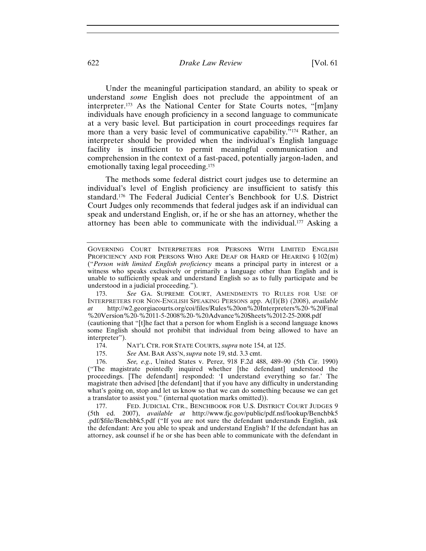## 622 *Drake Law Review* [Vol. 61

Under the meaningful participation standard, an ability to speak or understand *some* English does not preclude the appointment of an interpreter.173 As the National Center for State Courts notes, "[m]any individuals have enough proficiency in a second language to communicate at a very basic level. But participation in court proceedings requires far more than a very basic level of communicative capability."174 Rather, an interpreter should be provided when the individual's English language facility is insufficient to permit meaningful communication and comprehension in the context of a fast-paced, potentially jargon-laden, and emotionally taxing legal proceeding.175

The methods some federal district court judges use to determine an individual's level of English proficiency are insufficient to satisfy this standard.176 The Federal Judicial Center's Benchbook for U.S. District Court Judges only recommends that federal judges ask if an individual can speak and understand English, or, if he or she has an attorney, whether the attorney has been able to communicate with the individual.177 Asking a

GOVERNING COURT INTERPRETERS FOR PERSONS WITH LIMITED ENGLISH PROFICIENCY AND FOR PERSONS WHO ARE DEAF OR HARD OF HEARING § 102(m) ("*Person with limited English proficiency* means a principal party in interest or a witness who speaks exclusively or primarily a language other than English and is unable to sufficiently speak and understand English so as to fully participate and be understood in a judicial proceeding.").

<sup>173.</sup> *See* GA. SUPREME COURT, AMENDMENTS TO RULES FOR USE OF INTERPRETERS FOR NON-ENGLISH SPEAKING PERSONS app. A(I)(B) (2008), *available at* http://w2.georgiacourts.org/coi/files/Rules%20on%20Interpreters%20-%20Final %20Version%20-%2011-5-2008%20-%20Advance%20Sheets%2012-25-2008.pdf

<sup>(</sup>cautioning that "[t]he fact that a person for whom English is a second language knows some English should not prohibit that individual from being allowed to have an interpreter").

<sup>174.</sup> NAT'L CTR. FOR STATE COURTS, *supra* note 154, at 125.

<sup>175.</sup> *See* AM. BAR ASS'N,*supra* note 19, std. 3.3 cmt.

<sup>176.</sup> *See, e.g.*, United States v. Perez, 918 F.2d 488, 489–90 (5th Cir. 1990) ("The magistrate pointedly inquired whether [the defendant] understood the proceedings. [The defendant] responded: 'I understand everything so far.' The magistrate then advised [the defendant] that if you have any difficulty in understanding what's going on, stop and let us know so that we can do something because we can get a translator to assist you." (internal quotation marks omitted)).

<sup>177.</sup> FED. JUDICIAL CTR., BENCHBOOK FOR U.S. DISTRICT COURT JUDGES 9 (5th ed. 2007), *available at* http://www.fjc.gov/public/pdf.nsf/lookup/Benchbk5 .pdf/\$file/Benchbk5.pdf ("If you are not sure the defendant understands English, ask the defendant: Are you able to speak and understand English? If the defendant has an attorney, ask counsel if he or she has been able to communicate with the defendant in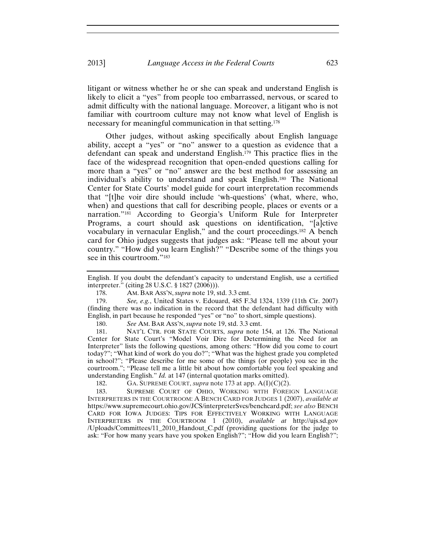litigant or witness whether he or she can speak and understand English is likely to elicit a "yes" from people too embarrassed, nervous, or scared to admit difficulty with the national language. Moreover, a litigant who is not familiar with courtroom culture may not know what level of English is necessary for meaningful communication in that setting.178

Other judges, without asking specifically about English language ability, accept a "yes" or "no" answer to a question as evidence that a defendant can speak and understand English.179 This practice flies in the face of the widespread recognition that open-ended questions calling for more than a "yes" or "no" answer are the best method for assessing an individual's ability to understand and speak English.180 The National Center for State Courts' model guide for court interpretation recommends that "[t]he voir dire should include 'wh-questions' (what, where, who, when) and questions that call for describing people, places or events or a narration."181 According to Georgia's Uniform Rule for Interpreter Programs, a court should ask questions on identification, "[a]ctive vocabulary in vernacular English," and the court proceedings.182 A bench card for Ohio judges suggests that judges ask: "Please tell me about your country." "How did you learn English?" "Describe some of the things you see in this courtroom."183

English. If you doubt the defendant's capacity to understand English, use a certified interpreter." (citing 28 U.S.C. § 1827 (2006))).

178. AM. BAR ASS'N, *supra* note 19, std. 3.3 cmt.

179. *See, e.g.*, United States v. Edouard, 485 F.3d 1324, 1339 (11th Cir. 2007) (finding there was no indication in the record that the defendant had difficulty with English, in part because he responded "yes" or "no" to short, simple questions).

180. *See* AM. BAR ASS'N,*supra* note 19, std. 3.3 cmt.

181. NAT'L CTR. FOR STATE COURTS, *supra* note 154, at 126. The National Center for State Court's "Model Voir Dire for Determining the Need for an Interpreter" lists the following questions, among others: "How did you come to court today?"; "What kind of work do you do?"; "What was the highest grade you completed in school?"; "Please describe for me some of the things (or people) you see in the courtroom."; "Please tell me a little bit about how comfortable you feel speaking and understanding English." *Id.* at 147 (internal quotation marks omitted).

182. GA. SUPREME COURT, *supra* note 173 at app. A(I)(C)(2).

183. SUPREME COURT OF OHIO, WORKING WITH FOREIGN LANGUAGE INTERPRETERS IN THE COURTROOM: A BENCH CARD FOR JUDGES 1 (2007), *available at* https://www.supremecourt.ohio.gov/JCS/interpreterSvcs/benchcard.pdf; *see also* BENCH CARD FOR IOWA JUDGES: TIPS FOR EFFECTIVELY WORKING WITH LANGUAGE INTERPRETERS IN THE COURTROOM 1 (2010), *available at* http://ujs.sd.gov /Uploads/Committees/11\_2010\_Handout\_C.pdf (providing questions for the judge to ask: "For how many years have you spoken English?"; "How did you learn English?";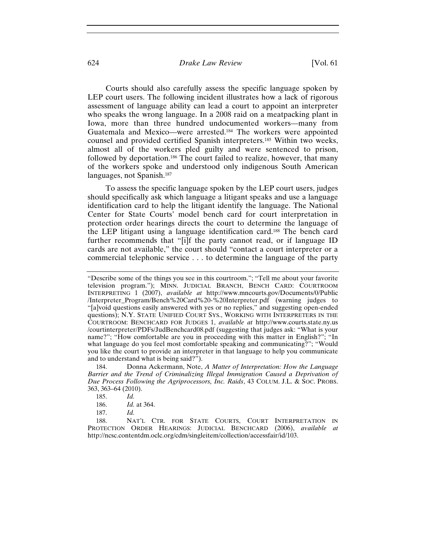#### 624 *Drake Law Review* [Vol. 61

Courts should also carefully assess the specific language spoken by LEP court users. The following incident illustrates how a lack of rigorous assessment of language ability can lead a court to appoint an interpreter who speaks the wrong language. In a 2008 raid on a meatpacking plant in Iowa, more than three hundred undocumented workers—many from Guatemala and Mexico—were arrested.184 The workers were appointed counsel and provided certified Spanish interpreters.185 Within two weeks, almost all of the workers pled guilty and were sentenced to prison, followed by deportation.186 The court failed to realize, however, that many of the workers spoke and understood only indigenous South American languages, not Spanish.187

To assess the specific language spoken by the LEP court users, judges should specifically ask which language a litigant speaks and use a language identification card to help the litigant identify the language. The National Center for State Courts' model bench card for court interpretation in protection order hearings directs the court to determine the language of the LEP litigant using a language identification card.188 The bench card further recommends that "[i]f the party cannot read, or if language ID cards are not available," the court should "contact a court interpreter or a commercial telephonic service . . . to determine the language of the party

<sup>&</sup>quot;Describe some of the things you see in this courtroom."; "Tell me about your favorite television program."); MINN. JUDICIAL BRANCH, BENCH CARD: COURTROOM INTERPRETING 1 (2007), *available at* http://www.mncourts.gov/Documents/0/Public /Interpreter\_Program/Bench%20Card%20-%20Interpreter.pdf (warning judges to "[a]void questions easily answered with yes or no replies," and suggesting open-ended questions); N.Y. STATE UNIFIED COURT SYS., WORKING WITH INTERPRETERS IN THE COURTROOM: BENCHCARD FOR JUDGES 1, *available at* http://www.courts.state.ny.us /courtinterpreter/PDFs/JudBenchcard08.pdf (suggesting that judges ask: "What is your name?"; "How comfortable are you in proceeding with this matter in English?"; "In what language do you feel most comfortable speaking and communicating?"; "Would you like the court to provide an interpreter in that language to help you communicate and to understand what is being said?").

<sup>184.</sup> Donna Ackermann, Note, *A Matter of Interpretation: How the Language Barrier and the Trend of Criminalizing Illegal Immigration Caused a Deprivation of Due Process Following the Agriprocessors, Inc. Raids*, 43 COLUM. J.L. & SOC. PROBS. 363, 363–64 (2010).

<sup>185.</sup> *Id.*

<sup>186.</sup> *Id.* at 364.

<sup>187.</sup> *Id.*

<sup>188.</sup> NAT'L CTR. FOR STATE COURTS, COURT INTERPRETATION IN PROTECTION ORDER HEARINGS: JUDICIAL BENCHCARD (2006), *available at* http://ncsc.contentdm.oclc.org/cdm/singleitem/collection/accessfair/id/103.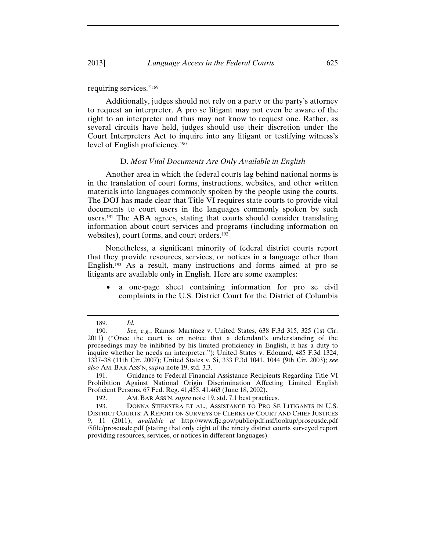#### 2013] *Language Access in the Federal Courts* 625

requiring services."189

Additionally, judges should not rely on a party or the party's attorney to request an interpreter. A pro se litigant may not even be aware of the right to an interpreter and thus may not know to request one. Rather, as several circuits have held, judges should use their discretion under the Court Interpreters Act to inquire into any litigant or testifying witness's level of English proficiency.190

#### D. *Most Vital Documents Are Only Available in English*

Another area in which the federal courts lag behind national norms is in the translation of court forms, instructions, websites, and other written materials into languages commonly spoken by the people using the courts. The DOJ has made clear that Title VI requires state courts to provide vital documents to court users in the languages commonly spoken by such users.191 The ABA agrees, stating that courts should consider translating information about court services and programs (including information on websites), court forms, and court orders.<sup>192</sup>

Nonetheless, a significant minority of federal district courts report that they provide resources, services, or notices in a language other than English.193 As a result, many instructions and forms aimed at pro se litigants are available only in English. Here are some examples:

 a one-page sheet containing information for pro se civil complaints in the U.S. District Court for the District of Columbia

191. Guidance to Federal Financial Assistance Recipients Regarding Title VI Prohibition Against National Origin Discrimination Affecting Limited English Proficient Persons, 67 Fed. Reg. 41,455, 41,463 (June 18, 2002).

192. AM. BAR ASS'N, *supra* note 19, std. 7.1 best practices.

<sup>189.</sup> *Id.*

<sup>190.</sup> *See, e.g.*, Ramos-Martínez v. United States, 638 F.3d 315, 325 (1st Cir. 2011) ("Once the court is on notice that a defendant's understanding of the proceedings may be inhibited by his limited proficiency in English, it has a duty to inquire whether he needs an interpreter."); United States v. Edouard, 485 F.3d 1324, 1337–38 (11th Cir. 2007); United States v. Si, 333 F.3d 1041, 1044 (9th Cir. 2003); *see also* AM. BAR ASS'N,*supra* note 19, std. 3.3.

<sup>193.</sup> DONNA STIENSTRA ET AL., ASSISTANCE TO PRO SE LITIGANTS IN U.S. DISTRICT COURTS: A REPORT ON SURVEYS OF CLERKS OF COURT AND CHIEF JUSTICES 9, 11 (2011), *available at* http://www.fjc.gov/public/pdf.nsf/lookup/proseusdc.pdf /\$file/proseusdc.pdf (stating that only eight of the ninety district courts surveyed report providing resources, services, or notices in different languages).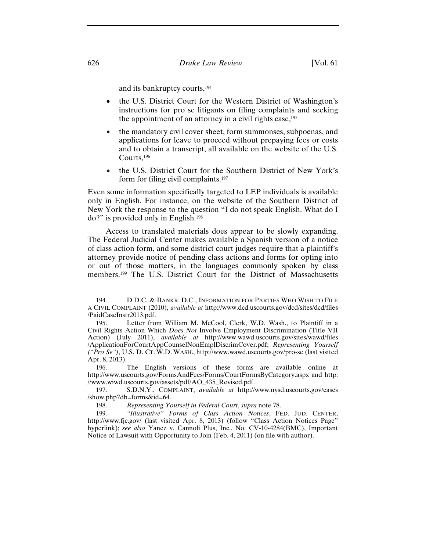and its bankruptcy courts,194

- the U.S. District Court for the Western District of Washington's instructions for pro se litigants on filing complaints and seeking the appointment of an attorney in a civil rights case,<sup>195</sup>
- the mandatory civil cover sheet, form summonses, subpoenas, and applications for leave to proceed without prepaying fees or costs and to obtain a transcript, all available on the website of the U.S. Courts,196
- the U.S. District Court for the Southern District of New York's form for filing civil complaints.197

Even some information specifically targeted to LEP individuals is available only in English. For instance, on the website of the Southern District of New York the response to the question "I do not speak English. What do I do?" is provided only in English.198

Access to translated materials does appear to be slowly expanding. The Federal Judicial Center makes available a Spanish version of a notice of class action form, and some district court judges require that a plaintiff's attorney provide notice of pending class actions and forms for opting into or out of those matters, in the languages commonly spoken by class members.199 The U.S. District Court for the District of Massachusetts

<sup>194.</sup> D.D.C. & BANKR. D.C., INFORMATION FOR PARTIES WHO WISH TO FILE A CIVIL COMPLAINT (2010), *available at* http://www.dcd.uscourts.gov/dcd/sites/dcd/files /PaidCaseInstr2013.pdf.

<sup>195.</sup> Letter from William M. McCool, Clerk, W.D. Wash., to Plaintiff in a Civil Rights Action Which *Does Not* Involve Employment Discrimination (Title VII Action) (July 2011), *available at* http://www.wawd.uscourts.gov/sites/wawd/files /ApplicationForCourtAppCounselNonEmplDiscrimCover.pdf; *Representing Yourself ("Pro Se")*, U.S. D. CT. W.D. WASH., http://www.wawd.uscourts.gov/pro-se (last visited Apr. 8, 2013).

<sup>196.</sup> The English versions of these forms are available online at http://www.uscourts.gov/FormsAndFees/Forms/CourtFormsByCategory.aspx and http: //www.wiwd.uscourts.gov/assets/pdf/AO\_435\_Revised.pdf.

<sup>197.</sup> S.D.N.Y., COMPLAINT, *available at* http://www.nysd.uscourts.gov/cases /show.php?db=forms&id=64.

<sup>198.</sup> *Representing Yourself in Federal Court*, *supra* note 78.

<sup>199.</sup> *"Illustrative" Forms of Class Action Notices*, FED. JUD. CENTER, http://www.fjc.gov/ (last visited Apr. 8, 2013) (follow "Class Action Notices Page" hyperlink); *see also* Yanez v. Cannoli Plus, Inc., No. CV-10-4284(BMC), Important Notice of Lawsuit with Opportunity to Join (Feb. 4, 2011) (on file with author).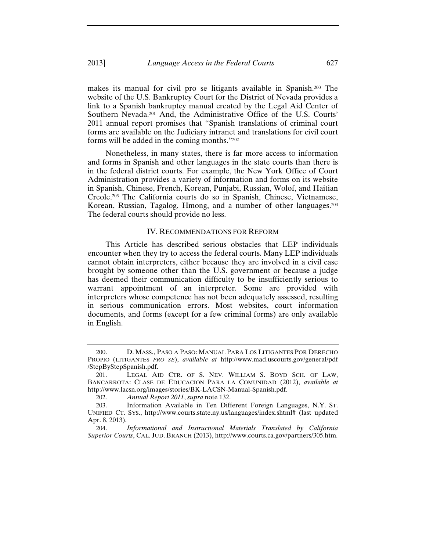makes its manual for civil pro se litigants available in Spanish.200 The website of the U.S. Bankruptcy Court for the District of Nevada provides a link to a Spanish bankruptcy manual created by the Legal Aid Center of Southern Nevada.201 And, the Administrative Office of the U.S. Courts' 2011 annual report promises that "Spanish translations of criminal court forms are available on the Judiciary intranet and translations for civil court forms will be added in the coming months."202

Nonetheless, in many states, there is far more access to information and forms in Spanish and other languages in the state courts than there is in the federal district courts. For example, the New York Office of Court Administration provides a variety of information and forms on its website in Spanish, Chinese, French, Korean, Punjabi, Russian, Wolof, and Haitian Creole.203 The California courts do so in Spanish, Chinese, Vietnamese, Korean, Russian, Tagalog, Hmong, and a number of other languages.204 The federal courts should provide no less.

#### IV. RECOMMENDATIONS FOR REFORM

This Article has described serious obstacles that LEP individuals encounter when they try to access the federal courts. Many LEP individuals cannot obtain interpreters, either because they are involved in a civil case brought by someone other than the U.S. government or because a judge has deemed their communication difficulty to be insufficiently serious to warrant appointment of an interpreter. Some are provided with interpreters whose competence has not been adequately assessed, resulting in serious communication errors. Most websites, court information documents, and forms (except for a few criminal forms) are only available in English.

<sup>200.</sup> D. MASS., PASO A PASO: MANUAL PARA LOS LITIGANTES POR DERECHO PROPIO (LITIGANTES *PRO SE*), *available at* http://www.mad.uscourts.gov/general/pdf /StepByStepSpanish.pdf.

<sup>201.</sup> LEGAL AID CTR. OF S. NEV. WILLIAM S. BOYD SCH. OF LAW, BANCARROTA: CLASE DE EDUCACION PARA LA COMUNIDAD (2012), *available at*  http://www.lacsn.org/images/stories/BK-LACSN-Manual-Spanish.pdf.

<sup>202.</sup> *Annual Report 2011*, *supra* note 132.

<sup>203.</sup> Information Available in Ten Different Foreign Languages, N.Y. ST. UNIFIED CT. SYS., http://www.courts.state.ny.us/languages/index.shtml# (last updated Apr. 8, 2013).

<sup>204.</sup> *Informational and Instructional Materials Translated by California Superior Courts*, CAL. JUD. BRANCH (2013), http://www.courts.ca.gov/partners/305.htm.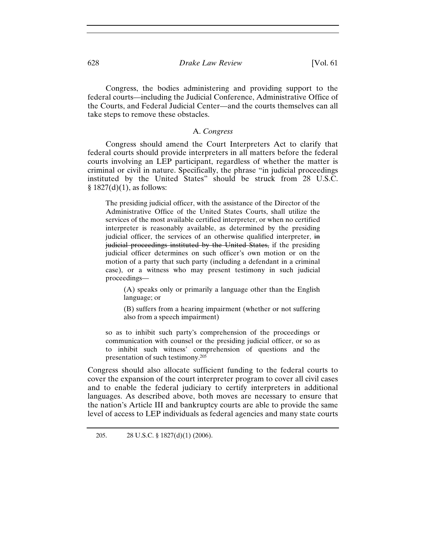# 628 *Drake Law Review* [Vol. 61

Congress, the bodies administering and providing support to the federal courts—including the Judicial Conference, Administrative Office of the Courts, and Federal Judicial Center—and the courts themselves can all take steps to remove these obstacles.

## A. *Congress*

Congress should amend the Court Interpreters Act to clarify that federal courts should provide interpreters in all matters before the federal courts involving an LEP participant, regardless of whether the matter is criminal or civil in nature. Specifically, the phrase "in judicial proceedings instituted by the United States" should be struck from 28 U.S.C.  $§ 1827(d)(1)$ , as follows:

The presiding judicial officer, with the assistance of the Director of the Administrative Office of the United States Courts, shall utilize the services of the most available certified interpreter, or when no certified interpreter is reasonably available, as determined by the presiding judicial officer, the services of an otherwise qualified interpreter, in judicial proceedings instituted by the United States, if the presiding judicial officer determines on such officer's own motion or on the motion of a party that such party (including a defendant in a criminal case), or a witness who may present testimony in such judicial proceedings—

(A) speaks only or primarily a language other than the English language; or

(B) suffers from a hearing impairment (whether or not suffering also from a speech impairment)

so as to inhibit such party's comprehension of the proceedings or communication with counsel or the presiding judicial officer, or so as to inhibit such witness' comprehension of questions and the presentation of such testimony.205

Congress should also allocate sufficient funding to the federal courts to cover the expansion of the court interpreter program to cover all civil cases and to enable the federal judiciary to certify interpreters in additional languages. As described above, both moves are necessary to ensure that the nation's Article III and bankruptcy courts are able to provide the same level of access to LEP individuals as federal agencies and many state courts

<sup>205. 28</sup> U.S.C. § 1827(d)(1) (2006).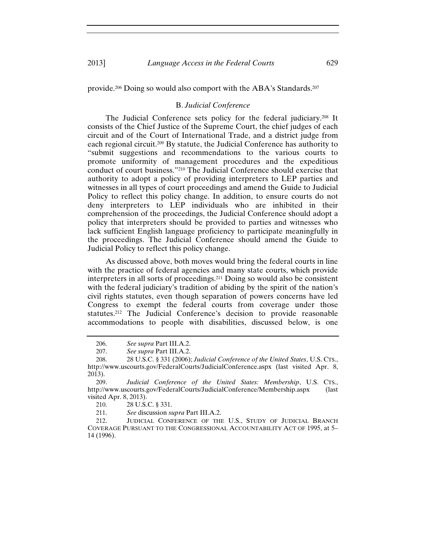provide.206 Doing so would also comport with the ABA's Standards.207

#### B. *Judicial Conference*

The Judicial Conference sets policy for the federal judiciary.208 It consists of the Chief Justice of the Supreme Court, the chief judges of each circuit and of the Court of International Trade, and a district judge from each regional circuit.209 By statute, the Judicial Conference has authority to "submit suggestions and recommendations to the various courts to promote uniformity of management procedures and the expeditious conduct of court business."210 The Judicial Conference should exercise that authority to adopt a policy of providing interpreters to LEP parties and witnesses in all types of court proceedings and amend the Guide to Judicial Policy to reflect this policy change. In addition, to ensure courts do not deny interpreters to LEP individuals who are inhibited in their comprehension of the proceedings, the Judicial Conference should adopt a policy that interpreters should be provided to parties and witnesses who lack sufficient English language proficiency to participate meaningfully in the proceedings. The Judicial Conference should amend the Guide to Judicial Policy to reflect this policy change.

As discussed above, both moves would bring the federal courts in line with the practice of federal agencies and many state courts, which provide interpreters in all sorts of proceedings.211 Doing so would also be consistent with the federal judiciary's tradition of abiding by the spirit of the nation's civil rights statutes, even though separation of powers concerns have led Congress to exempt the federal courts from coverage under those statutes.212 The Judicial Conference's decision to provide reasonable accommodations to people with disabilities, discussed below, is one

210. 28 U.S.C. § 331.

211. *See* discussion *supra* Part III.A.2.

212. JUDICIAL CONFERENCE OF THE U.S., STUDY OF JUDICIAL BRANCH COVERAGE PURSUANT TO THE CONGRESSIONAL ACCOUNTABILITY ACT OF 1995, at 5– 14 (1996).

<sup>206.</sup> *See supra* Part III.A.2.

<sup>207.</sup> *See supra* Part III.A.2.

<sup>208. 28</sup> U.S.C. § 331 (2006); *Judicial Conference of the United States*, U.S. CTS., http://www.uscourts.gov/FederalCourts/JudicialConference.aspx (last visited Apr. 8, 2013).

<sup>209.</sup> *Judicial Conference of the United States: Membership*, U.S. CTS., http://www.uscourts.gov/FederalCourts/JudicialConference/Membership.aspx (last visited Apr. 8, 2013).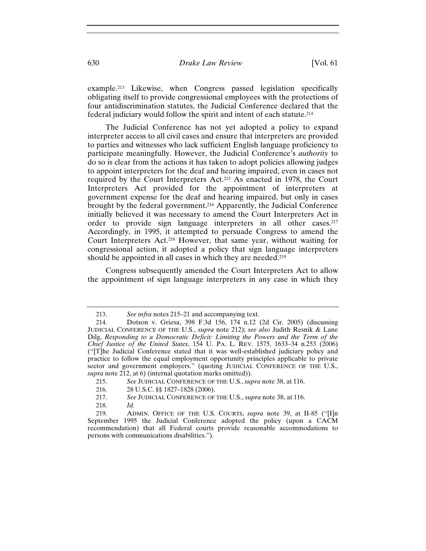## 630 *Drake Law Review* [Vol. 61

example.213 Likewise, when Congress passed legislation specifically obligating itself to provide congressional employees with the protections of four antidiscrimination statutes, the Judicial Conference declared that the federal judiciary would follow the spirit and intent of each statute.214

The Judicial Conference has not yet adopted a policy to expand interpreter access to all civil cases and ensure that interpreters are provided to parties and witnesses who lack sufficient English language proficiency to participate meaningfully. However, the Judicial Conference's *authority* to do so is clear from the actions it has taken to adopt policies allowing judges to appoint interpreters for the deaf and hearing impaired, even in cases not required by the Court Interpreters Act.215 As enacted in 1978, the Court Interpreters Act provided for the appointment of interpreters at government expense for the deaf and hearing impaired, but only in cases brought by the federal government.216 Apparently, the Judicial Conference initially believed it was necessary to amend the Court Interpreters Act in order to provide sign language interpreters in all other cases.217 Accordingly, in 1995, it attempted to persuade Congress to amend the Court Interpreters Act.218 However, that same year, without waiting for congressional action, it adopted a policy that sign language interpreters should be appointed in all cases in which they are needed.<sup>219</sup>

Congress subsequently amended the Court Interpreters Act to allow the appointment of sign language interpreters in any case in which they

<sup>213.</sup> *See infra* notes 215–21 and accompanying text.

<sup>214.</sup> Dotson v. Griesa, 398 F.3d 156, 174 n.12 (2d Cir. 2005) (discussing JUDICIAL CONFERENCE OF THE U.S., *supra* note 212); *see also* Judith Resnik & Lane Dilg, *Responding to a Democratic Deficit: Limiting the Powers and the Term of the Chief Justice of the United States*, 154 U. PA. L. REV. 1575, 1633–34 n.253 (2006) ("[T]he Judicial Conference stated that it was well-established judiciary policy and practice to follow the equal employment opportunity principles applicable to private sector and government employers." (quoting JUDICIAL CONFERENCE OF THE U.S., *supra* note 212, at 6) (internal quotation marks omitted)).

<sup>215.</sup> *See* JUDICIAL CONFERENCE OF THE U.S., *supra* note 38, at 116.

<sup>216.</sup>28 U.S.C. §§ 1827–1828 (2006).

<sup>217.</sup> *See* JUDICIAL CONFERENCE OF THE U.S., *supra* note 38, at 116.

<sup>218.</sup> *Id.*

<sup>219.</sup> ADMIN. OFFICE OF THE U.S. COURTS, *supra* note 39, at II-85 ("[I]n September 1995 the Judicial Conference adopted the policy (upon a CACM recommendation) that all Federal courts provide reasonable accommodations to persons with communications disabilities.").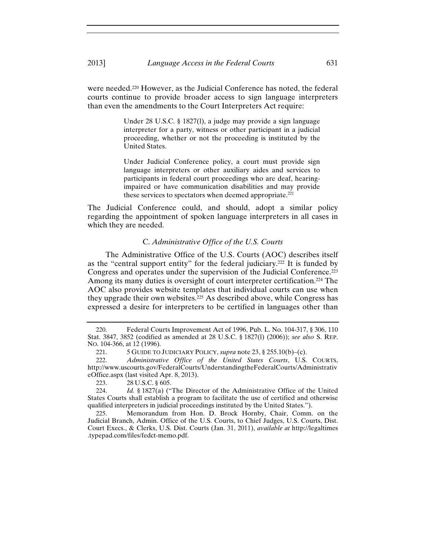were needed.<sup>220</sup> However, as the Judicial Conference has noted, the federal courts continue to provide broader access to sign language interpreters than even the amendments to the Court Interpreters Act require:

> Under 28 U.S.C. § 1827(l), a judge may provide a sign language interpreter for a party, witness or other participant in a judicial proceeding, whether or not the proceeding is instituted by the United States.

> Under Judicial Conference policy, a court must provide sign language interpreters or other auxiliary aides and services to participants in federal court proceedings who are deaf, hearingimpaired or have communication disabilities and may provide these services to spectators when deemed appropriate. $221$

The Judicial Conference could, and should, adopt a similar policy regarding the appointment of spoken language interpreters in all cases in which they are needed.

# C. *Administrative Office of the U.S. Courts*

The Administrative Office of the U.S. Courts (AOC) describes itself as the "central support entity" for the federal judiciary.222 It is funded by Congress and operates under the supervision of the Judicial Conference.<sup>223</sup> Among its many duties is oversight of court interpreter certification.<sup>224</sup> The AOC also provides website templates that individual courts can use when they upgrade their own websites.<sup>225</sup> As described above, while Congress has expressed a desire for interpreters to be certified in languages other than

<sup>220.</sup> Federal Courts Improvement Act of 1996, Pub. L. No. 104-317, § 306, 110 Stat. 3847, 3852 (codified as amended at 28 U.S.C. § 1827(l) (2006)); *see also* S. REP. NO. 104-366, at 12 (1996).

<sup>221. 5</sup> GUIDE TO JUDICIARY POLICY, *supra* note 23, § 255.10(b)–(c).

<sup>222.</sup> *Administrative Office of the United States Courts*, U.S. COURTS, http://www.uscourts.gov/FederalCourts/UnderstandingtheFederalCourts/Administrativ eOffice.aspx (last visited Apr. 8, 2013).

<sup>223. 28</sup> U.S.C. § 605.

<sup>224.</sup> *Id.* § 1827(a) ("The Director of the Administrative Office of the United States Courts shall establish a program to facilitate the use of certified and otherwise qualified interpreters in judicial proceedings instituted by the United States.").

<sup>225.</sup> Memorandum from Hon. D. Brock Hornby, Chair, Comm. on the Judicial Branch, Admin. Office of the U.S. Courts, to Chief Judges, U.S. Courts, Dist. Court Execs., & Clerks, U.S. Dist. Courts (Jan. 31, 2011), *available at* http://legaltimes .typepad.com/files/fedct-memo.pdf.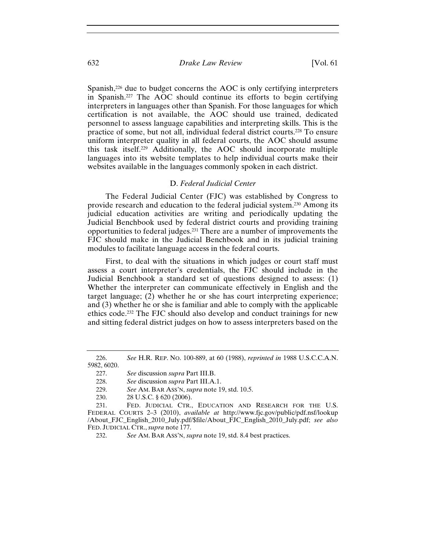Spanish,<sup>226</sup> due to budget concerns the AOC is only certifying interpreters in Spanish.227 The AOC should continue its efforts to begin certifying interpreters in languages other than Spanish. For those languages for which certification is not available, the AOC should use trained, dedicated personnel to assess language capabilities and interpreting skills. This is the practice of some, but not all, individual federal district courts.228 To ensure uniform interpreter quality in all federal courts, the AOC should assume this task itself.229 Additionally, the AOC should incorporate multiple languages into its website templates to help individual courts make their websites available in the languages commonly spoken in each district.

# D. *Federal Judicial Center*

The Federal Judicial Center (FJC) was established by Congress to provide research and education to the federal judicial system.230 Among its judicial education activities are writing and periodically updating the Judicial Benchbook used by federal district courts and providing training opportunities to federal judges.231 There are a number of improvements the FJC should make in the Judicial Benchbook and in its judicial training modules to facilitate language access in the federal courts.

First, to deal with the situations in which judges or court staff must assess a court interpreter's credentials, the FJC should include in the Judicial Benchbook a standard set of questions designed to assess: (1) Whether the interpreter can communicate effectively in English and the target language; (2) whether he or she has court interpreting experience; and (3) whether he or she is familiar and able to comply with the applicable ethics code.232 The FJC should also develop and conduct trainings for new and sitting federal district judges on how to assess interpreters based on the

<sup>226.</sup> *See* H.R. REP. NO. 100-889, at 60 (1988), *reprinted in* 1988 U.S.C.C.A.N. 5982, 6020.

<sup>227.</sup> *See* discussion *supra* Part III.B.

<sup>228.</sup> *See* discussion *supra* Part III.A.1.

<sup>229.</sup> *See* AM. BAR ASS'N, *supra* note 19, std. 10.5.

<sup>230. 28</sup> U.S.C. § 620 (2006).

<sup>231.</sup> FED. JUDICIAL CTR., EDUCATION AND RESEARCH FOR THE U.S. FEDERAL COURTS 2–3 (2010), *available at* http://www.fjc.gov/public/pdf.nsf/lookup /About\_FJC\_English\_2010\_July.pdf/\$file/About\_FJC\_English\_2010\_July.pdf; *see also*  FED. JUDICIAL CTR., *supra* note 177.

<sup>232.</sup> *See* AM. BAR ASS'N, *supra* note 19, std. 8.4 best practices.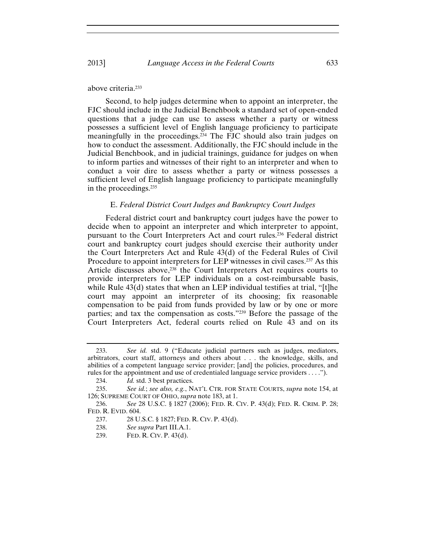#### 2013] *Language Access in the Federal Courts* 633

above criteria.233

Second, to help judges determine when to appoint an interpreter, the FJC should include in the Judicial Benchbook a standard set of open-ended questions that a judge can use to assess whether a party or witness possesses a sufficient level of English language proficiency to participate meaningfully in the proceedings.234 The FJC should also train judges on how to conduct the assessment. Additionally, the FJC should include in the Judicial Benchbook, and in judicial trainings, guidance for judges on when to inform parties and witnesses of their right to an interpreter and when to conduct a voir dire to assess whether a party or witness possesses a sufficient level of English language proficiency to participate meaningfully in the proceedings.235

#### E. *Federal District Court Judges and Bankruptcy Court Judges*

Federal district court and bankruptcy court judges have the power to decide when to appoint an interpreter and which interpreter to appoint, pursuant to the Court Interpreters Act and court rules.236 Federal district court and bankruptcy court judges should exercise their authority under the Court Interpreters Act and Rule 43(d) of the Federal Rules of Civil Procedure to appoint interpreters for LEP witnesses in civil cases.<sup>237</sup> As this Article discusses above,<sup>238</sup> the Court Interpreters Act requires courts to provide interpreters for LEP individuals on a cost-reimbursable basis, while Rule  $43(d)$  states that when an LEP individual testifies at trial, "[t]he court may appoint an interpreter of its choosing; fix reasonable compensation to be paid from funds provided by law or by one or more parties; and tax the compensation as costs."239 Before the passage of the Court Interpreters Act, federal courts relied on Rule 43 and on its

<sup>233.</sup> *See id.* std. 9 ("Educate judicial partners such as judges, mediators, arbitrators, court staff, attorneys and others about . . . the knowledge, skills, and abilities of a competent language service provider; [and] the policies, procedures, and rules for the appointment and use of credentialed language service providers . . . .").

<sup>234.</sup> *Id.* std. 3 best practices.

<sup>235.</sup> *See id.*; *see also, e.g.*, NAT'L CTR. FOR STATE COURTS, *supra* note 154, at 126; SUPREME COURT OF OHIO, *supra* note 183, at 1.

<sup>236.</sup> *See* 28 U.S.C. § 1827 (2006); FED. R. CIV. P. 43(d); FED. R. CRIM. P. 28; FED. R. EVID. 604.

<sup>237. 28</sup> U.S.C. § 1827; FED. R. CIV. P. 43(d).

<sup>238.</sup> *See supra* Part III.A.1.

<sup>239.</sup> FED. R. CIV. P. 43(d).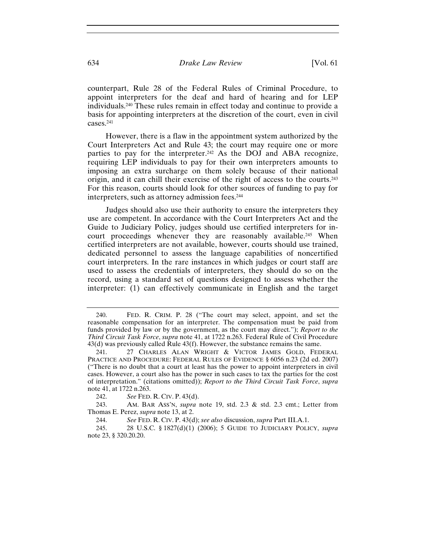counterpart, Rule 28 of the Federal Rules of Criminal Procedure, to appoint interpreters for the deaf and hard of hearing and for LEP individuals.240 These rules remain in effect today and continue to provide a basis for appointing interpreters at the discretion of the court, even in civil cases.241

However, there is a flaw in the appointment system authorized by the Court Interpreters Act and Rule 43; the court may require one or more parties to pay for the interpreter.<sup>242</sup> As the DOJ and ABA recognize, requiring LEP individuals to pay for their own interpreters amounts to imposing an extra surcharge on them solely because of their national origin, and it can chill their exercise of the right of access to the courts.243 For this reason, courts should look for other sources of funding to pay for interpreters, such as attorney admission fees.<sup>244</sup>

Judges should also use their authority to ensure the interpreters they use are competent. In accordance with the Court Interpreters Act and the Guide to Judiciary Policy, judges should use certified interpreters for incourt proceedings whenever they are reasonably available.245 When certified interpreters are not available, however, courts should use trained, dedicated personnel to assess the language capabilities of noncertified court interpreters. In the rare instances in which judges or court staff are used to assess the credentials of interpreters, they should do so on the record, using a standard set of questions designed to assess whether the interpreter: (1) can effectively communicate in English and the target

<sup>240.</sup>FED. R. CRIM. P. 28 ("The court may select, appoint, and set the reasonable compensation for an interpreter. The compensation must be paid from funds provided by law or by the government, as the court may direct."); *Report to the Third Circuit Task Force*, *supra* note 41, at 1722 n.263. Federal Rule of Civil Procedure 43(d) was previously called Rule 43(f). However, the substance remains the same.

<sup>241. 27</sup> CHARLES ALAN WRIGHT & VICTOR JAMES GOLD, FEDERAL PRACTICE AND PROCEDURE: FEDERAL RULES OF EVIDENCE § 6056 n.23 (2d ed. 2007) ("There is no doubt that a court at least has the power to appoint interpreters in civil cases. However, a court also has the power in such cases to tax the parties for the cost of interpretation." (citations omitted)); *Report to the Third Circuit Task Force*, *supra*  note 41, at 1722 n.263.

<sup>242.</sup> *See* FED. R. CIV. P. 43(d).

<sup>243.</sup> AM. BAR ASS'N, *supra* note 19, std. 2.3 & std. 2.3 cmt.; Letter from Thomas E. Perez, *supra* note 13, at 2.

<sup>244.</sup> *See* FED. R. CIV. P. 43(d); *see also* discussion, *supra* Part III.A.1.

<sup>245. 28</sup> U.S.C. § 1827(d)(1) (2006); 5 GUIDE TO JUDICIARY POLICY, *supra* note 23, § 320.20.20.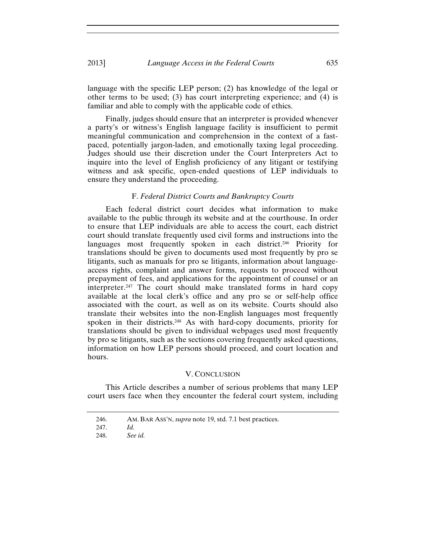language with the specific LEP person; (2) has knowledge of the legal or other terms to be used; (3) has court interpreting experience; and (4) is familiar and able to comply with the applicable code of ethics.

Finally, judges should ensure that an interpreter is provided whenever a party's or witness's English language facility is insufficient to permit meaningful communication and comprehension in the context of a fastpaced, potentially jargon-laden, and emotionally taxing legal proceeding. Judges should use their discretion under the Court Interpreters Act to inquire into the level of English proficiency of any litigant or testifying witness and ask specific, open-ended questions of LEP individuals to ensure they understand the proceeding.

# F. *Federal District Courts and Bankruptcy Courts*

Each federal district court decides what information to make available to the public through its website and at the courthouse. In order to ensure that LEP individuals are able to access the court, each district court should translate frequently used civil forms and instructions into the languages most frequently spoken in each district.<sup>246</sup> Priority for translations should be given to documents used most frequently by pro se litigants, such as manuals for pro se litigants, information about languageaccess rights, complaint and answer forms, requests to proceed without prepayment of fees, and applications for the appointment of counsel or an interpreter.247 The court should make translated forms in hard copy available at the local clerk's office and any pro se or self-help office associated with the court, as well as on its website. Courts should also translate their websites into the non-English languages most frequently spoken in their districts.248 As with hard-copy documents, priority for translations should be given to individual webpages used most frequently by pro se litigants, such as the sections covering frequently asked questions, information on how LEP persons should proceed, and court location and hours.

#### V. CONCLUSION

This Article describes a number of serious problems that many LEP court users face when they encounter the federal court system, including

<sup>246.</sup> AM. BAR ASS'N, *supra* note 19, std. 7.1 best practices.

<sup>247.</sup> *Id.*

<sup>248.</sup> *See id.*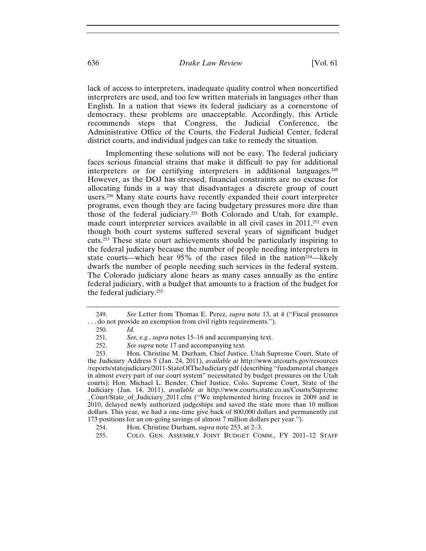lack of access to interpreters, inadequate quality control when noncertified interpreters are used, and too few written materials in languages other than English. In a nation that views its federal judiciary as a cornerstone of democracy, these problems are unacceptable. Accordingly, this Article recommends steps that Congress, the Judicial Conference, the Administrative Office of the Courts, the Federal Judicial Center, federal district courts, and individual judges can take to remedy the situation.

Implementing these solutions will not be easy. The federal judiciary faces serious financial strains that make it difficult to pay for additional interpreters or for certifying interpreters in additional languages.249 However, as the DOJ has stressed, financial constraints are no excuse for allocating funds in a way that disadvantages a discrete group of court users.250 Many state courts have recently expanded their court interpreter programs, even though they are facing budgetary pressures more dire than those of the federal judiciary.251 Both Colorado and Utah, for example, made court interpreter services available in all civil cases in 2011,<sup>252</sup> even though both court systems suffered several years of significant budget cuts.253 These state court achievements should be particularly inspiring to the federal judiciary because the number of people needing interpreters in state courts—which hear 95% of the cases filed in the nation<sup>254</sup>—likely dwarfs the number of people needing such services in the federal system. The Colorado judiciary alone hears as many cases annually as the entire federal judiciary, with a budget that amounts to a fraction of the budget for the federal judiciary.255

<sup>249.</sup> *See* Letter from Thomas E. Perez, *supra* note 13, at 4 ("Fiscal pressures . . . do not provide an exemption from civil rights requirements.").

<sup>250.</sup> *Id.*

<sup>251.</sup> *See, e.g.*, *supra* notes 15–16 and accompanying text.

<sup>252.</sup> *See supra* note 17 and accompanying text.

<sup>253.</sup> Hon. Christine M. Durham, Chief Justice, Utah Supreme Court, State of the Judiciary Address 5 (Jan. 24, 2011), *available at* http://www.utcourts.gov/resources /reports/statejudiciary/2011-StateOfTheJudiciary.pdf (describing "fundamental changes in almost every part of our court system" necessitated by budget pressures on the Utah courts); Hon. Michael L. Bender, Chief Justice, Colo. Supreme Court, State of the Judiciary (Jan. 14, 2011), *available at* http://www.courts.state.co.us/Courts/Supreme \_Court/State\_of\_Judiciary\_2011.cfm ("We implemented hiring freezes in 2009 and in 2010, delayed newly authorized judgeships and saved the state more than 10 million dollars. This year, we had a one-time give back of 800,000 dollars and permanently cut 173 positions for an on-going savings of almost 7 million dollars per year.").

<sup>254.</sup> Hon. Christine Durham, *supra* note 253, at 2–3.

<sup>255.</sup> COLO. GEN. ASSEMBLY JOINT BUDGET COMM., FY 2011–12 STAFF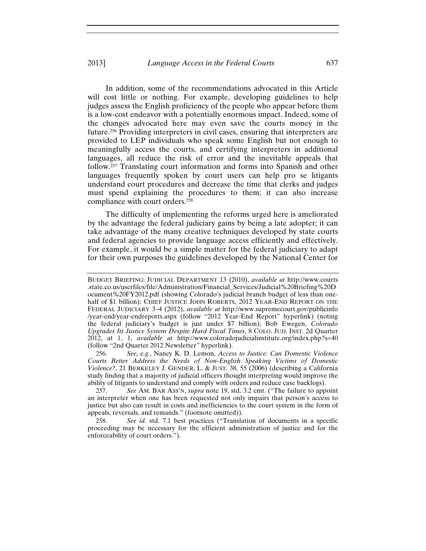#### 2013] *Language Access in the Federal Courts* 637

In addition, some of the recommendations advocated in this Article will cost little or nothing. For example, developing guidelines to help judges assess the English proficiency of the people who appear before them is a low-cost endeavor with a potentially enormous impact. Indeed, some of the changes advocated here may even save the courts money in the future.256 Providing interpreters in civil cases, ensuring that interpreters are provided to LEP individuals who speak some English but not enough to meaningfully access the courts, and certifying interpreters in additional languages, all reduce the risk of error and the inevitable appeals that follow.257 Translating court information and forms into Spanish and other languages frequently spoken by court users can help pro se litigants understand court procedures and decrease the time that clerks and judges must spend explaining the procedures to them; it can also increase compliance with court orders.258

The difficulty of implementing the reforms urged here is ameliorated by the advantage the federal judiciary gains by being a late adopter; it can take advantage of the many creative techniques developed by state courts and federal agencies to provide language access efficiently and effectively. For example, it would be a simple matter for the federal judiciary to adapt for their own purposes the guidelines developed by the National Center for

256. *See, e.g.*, Nancy K. D. Lemon, *Access to Justice: Can Domestic Violence Courts Better Address the Needs of Non-English Speaking Victims of Domestic Violence?*, 21 BERKELEY J. GENDER, L. & JUST. 38, 55 (2006) (describing a California study finding that a majority of judicial officers thought interpreting would improve the ability of litigants to understand and comply with orders and reduce case backlogs).

257. *See* AM. BAR ASS'N, *supra* note 19, std. 3.2 cmt. ("The failure to appoint an interpreter when one has been requested not only impairs that person's access to justice but also can result in costs and inefficiencies to the court system in the form of appeals, reversals, and remands." (footnote omitted)).

258. *See id.* std. 7.1 best practices ("Translation of documents in a specific proceeding may be necessary for the efficient administration of justice and for the enforceability of court orders.").

BUDGET BRIEFING: JUDICIAL DEPARTMENT 13 (2010), *available at* http://www.courts .state.co.us/userfiles/file/Administration/Financial\_Services/Judicial%20Briefing%20D ocument%20FY2012.pdf (showing Colorado's judicial branch budget of less than onehalf of \$1 billion); CHIEF JUSTICE JOHN ROBERTS, 2012 YEAR-END REPORT ON THE FEDERAL JUDICIARY 3–4 (2012), *available at* http://www.supremecourt.gov/publicinfo /year-end/year-endreports.aspx (follow "2012 Year-End Report" hyperlink) (noting the federal judiciary's budget is just under \$7 billion); Bob Ewegen, *Colorado Upgrades Its Justice System Despite Hard Fiscal Times*, 8 COLO. JUD. INST. 2d Quarter 2012, at 1, 1, *available at* http://www.coloradojudicialinstitute.org/index.php?s=40 (follow "2nd Quarter 2012 Newsletter" hyperlink).